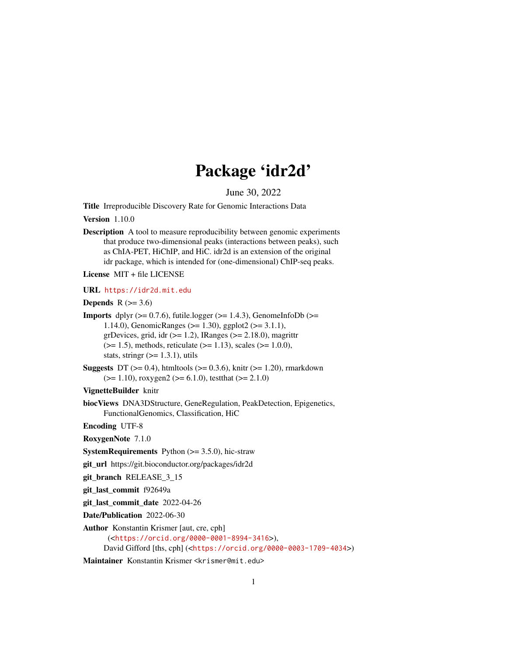# Package 'idr2d'

June 30, 2022

<span id="page-0-0"></span>Title Irreproducible Discovery Rate for Genomic Interactions Data

Version 1.10.0

Description A tool to measure reproducibility between genomic experiments that produce two-dimensional peaks (interactions between peaks), such as ChIA-PET, HiChIP, and HiC. idr2d is an extension of the original idr package, which is intended for (one-dimensional) ChIP-seq peaks.

License MIT + file LICENSE

#### URL <https://idr2d.mit.edu>

**Depends** R  $(>= 3.6)$ 

- **Imports** dplyr ( $>= 0.7.6$ ), futile.logger ( $>= 1.4.3$ ), GenomeInfoDb ( $>=$ 1.14.0), GenomicRanges (>= 1.30), ggplot2 (>= 3.1.1), grDevices, grid, idr  $(>= 1.2)$ , IRanges  $(>= 2.18.0)$ , magrittr  $(>= 1.5)$ , methods, reticulate  $(>= 1.13)$ , scales  $(>= 1.0.0)$ , stats, stringr  $(>= 1.3.1)$ , utils
- **Suggests** DT ( $>= 0.4$ ), htmltools ( $>= 0.3.6$ ), knitr ( $>= 1.20$ ), rmarkdown  $(>= 1.10)$ , roxygen2  $(>= 6.1.0)$ , testthat  $(>= 2.1.0)$

VignetteBuilder knitr

biocViews DNA3DStructure, GeneRegulation, PeakDetection, Epigenetics, FunctionalGenomics, Classification, HiC

Encoding UTF-8

RoxygenNote 7.1.0

**SystemRequirements** Python  $(>= 3.5.0)$ , hic-straw

git\_url https://git.bioconductor.org/packages/idr2d

git\_branch RELEASE\_3\_15

git\_last\_commit f92649a

git\_last\_commit\_date 2022-04-26

Date/Publication 2022-06-30

Author Konstantin Krismer [aut, cre, cph] (<<https://orcid.org/0000-0001-8994-3416>>), David Gifford [ths, cph] (<<https://orcid.org/0000-0003-1709-4034>>)

Maintainer Konstantin Krismer <krismer@mit.edu>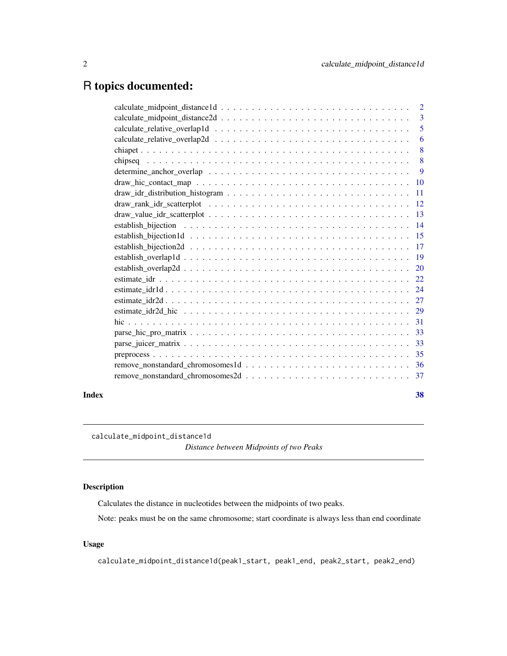# <span id="page-1-0"></span>R topics documented:

|       |                                                                                                                                       | $\overline{2}$ |
|-------|---------------------------------------------------------------------------------------------------------------------------------------|----------------|
|       |                                                                                                                                       | $\overline{3}$ |
|       |                                                                                                                                       | 5              |
|       |                                                                                                                                       | -6             |
|       |                                                                                                                                       | 8              |
|       |                                                                                                                                       | -8             |
|       | determine_anchor_overlap $\dots \dots \dots \dots \dots \dots \dots \dots \dots \dots \dots \dots \dots \dots$                        | $\overline{9}$ |
|       |                                                                                                                                       |                |
|       |                                                                                                                                       |                |
|       |                                                                                                                                       |                |
|       | $draw\_value\_idr\_scatterplot \dots \dots \dots \dots \dots \dots \dots \dots \dots \dots \dots \dots \dots \dots \dots \dots \dots$ |                |
|       |                                                                                                                                       |                |
|       |                                                                                                                                       |                |
|       |                                                                                                                                       |                |
|       |                                                                                                                                       |                |
|       |                                                                                                                                       |                |
|       |                                                                                                                                       |                |
|       |                                                                                                                                       |                |
|       |                                                                                                                                       |                |
|       |                                                                                                                                       |                |
|       |                                                                                                                                       |                |
|       |                                                                                                                                       |                |
|       |                                                                                                                                       |                |
|       |                                                                                                                                       |                |
|       |                                                                                                                                       |                |
|       |                                                                                                                                       |                |
| Index |                                                                                                                                       | 38             |
|       |                                                                                                                                       |                |

calculate\_midpoint\_distance1d

*Distance between Midpoints of two Peaks*

# Description

Calculates the distance in nucleotides between the midpoints of two peaks.

Note: peaks must be on the same chromosome; start coordinate is always less than end coordinate

# Usage

calculate\_midpoint\_distance1d(peak1\_start, peak1\_end, peak2\_start, peak2\_end)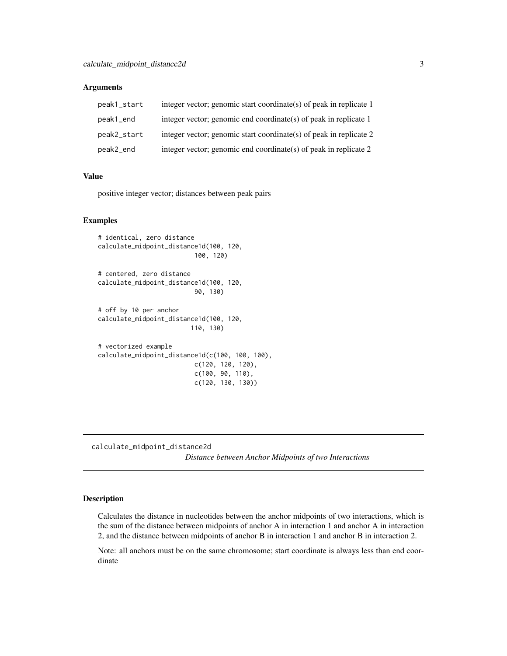#### <span id="page-2-0"></span>**Arguments**

| peak1_start | integer vector; genomic start coordinate(s) of peak in replicate 1 |
|-------------|--------------------------------------------------------------------|
| peak1_end   | integer vector; genomic end coordinate(s) of peak in replicate 1   |
| peak2_start | integer vector; genomic start coordinate(s) of peak in replicate 2 |
| peak2_end   | integer vector; genomic end coordinate(s) of peak in replicate 2   |

#### Value

positive integer vector; distances between peak pairs

#### Examples

```
# identical, zero distance
calculate_midpoint_distance1d(100, 120,
                          100, 120)
# centered, zero distance
calculate_midpoint_distance1d(100, 120,
                          90, 130)
# off by 10 per anchor
calculate_midpoint_distance1d(100, 120,
                         110, 130)
# vectorized example
calculate_midpoint_distance1d(c(100, 100, 100),
                          c(120, 120, 120),
                          c(100, 90, 110),
                          c(120, 130, 130))
```
calculate\_midpoint\_distance2d

*Distance between Anchor Midpoints of two Interactions*

#### Description

Calculates the distance in nucleotides between the anchor midpoints of two interactions, which is the sum of the distance between midpoints of anchor A in interaction 1 and anchor A in interaction 2, and the distance between midpoints of anchor B in interaction 1 and anchor B in interaction 2.

Note: all anchors must be on the same chromosome; start coordinate is always less than end coordinate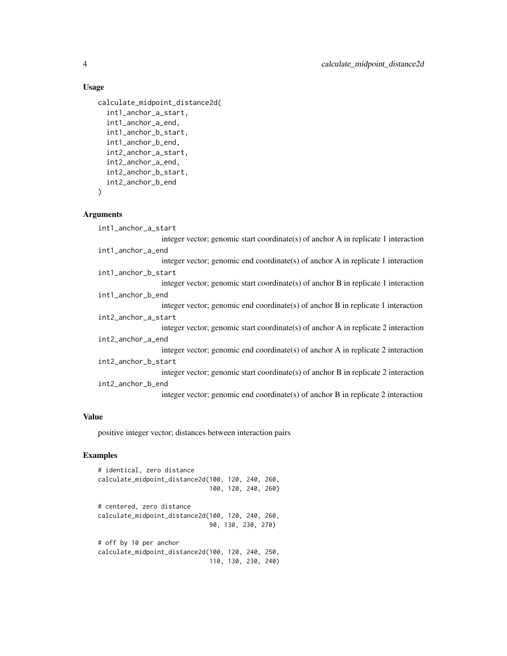#### Usage

```
calculate_midpoint_distance2d(
  int1_anchor_a_start,
  int1_anchor_a_end,
  int1_anchor_b_start,
  int1_anchor_b_end,
  int2_anchor_a_start,
  int2_anchor_a_end,
  int2_anchor_b_start,
  int2_anchor_b_end
```
 $\lambda$ 

#### **Arguments**

int1\_anchor\_a\_start integer vector; genomic start coordinate(s) of anchor A in replicate 1 interaction int1\_anchor\_a\_end integer vector; genomic end coordinate(s) of anchor A in replicate 1 interaction int1\_anchor\_b\_start integer vector; genomic start coordinate(s) of anchor B in replicate 1 interaction int1\_anchor\_b\_end integer vector; genomic end coordinate(s) of anchor B in replicate 1 interaction int2\_anchor\_a\_start integer vector; genomic start coordinate(s) of anchor A in replicate 2 interaction int2\_anchor\_a\_end integer vector; genomic end coordinate(s) of anchor A in replicate 2 interaction int2\_anchor\_b\_start integer vector; genomic start coordinate(s) of anchor B in replicate 2 interaction int2\_anchor\_b\_end integer vector; genomic end coordinate(s) of anchor B in replicate 2 interaction

#### Value

positive integer vector; distances between interaction pairs

# Examples

| # identical, zero distance                        |  |
|---------------------------------------------------|--|
| calculate_midpoint_distance2d(100, 120, 240, 260, |  |
| 100, 120, 240, 260)                               |  |
| # centered, zero distance                         |  |
| calculate_midpoint_distance2d(100, 120, 240, 260, |  |
| 90, 130, 230, 270)                                |  |
| # off by 10 per anchor                            |  |
| calculate_midpoint_distance2d(100, 120, 240, 250, |  |
| 110, 130, 230, 240)                               |  |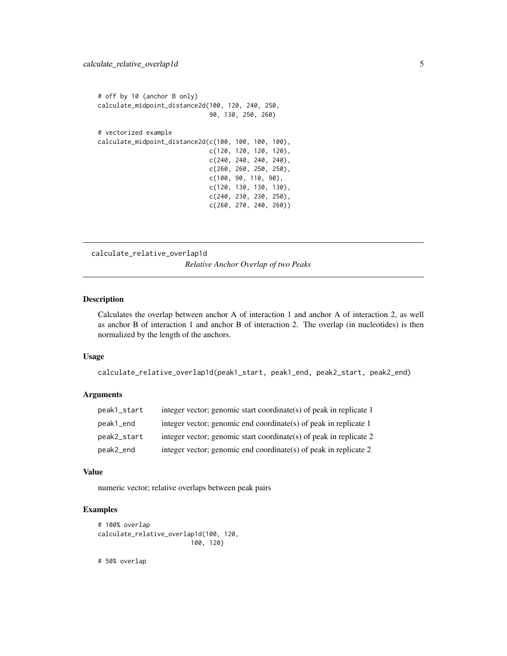<span id="page-4-0"></span>

| # off by 10 (anchor B only)<br>calculate_midpoint_distance2d(100, 120, 240, 250, |                           |  |  |
|----------------------------------------------------------------------------------|---------------------------|--|--|
|                                                                                  | 90, 130, 250, 260)        |  |  |
| # vectorized example                                                             |                           |  |  |
| calculate_midpoint_distance2d(c(100, 100, 100, 100),                             |                           |  |  |
|                                                                                  | $c(120, 120, 120, 120)$ , |  |  |
|                                                                                  | $c(240, 240, 240, 240)$ , |  |  |
|                                                                                  | $c(260, 260, 250, 250)$ , |  |  |
|                                                                                  | c(100, 90, 110, 90),      |  |  |
|                                                                                  | $c(120, 130, 130, 130)$ , |  |  |
|                                                                                  | $c(240, 230, 230, 250)$ , |  |  |
|                                                                                  | c(260, 270, 240, 260))    |  |  |

calculate\_relative\_overlap1d *Relative Anchor Overlap of two Peaks*

#### Description

Calculates the overlap between anchor A of interaction 1 and anchor A of interaction 2, as well as anchor B of interaction 1 and anchor B of interaction 2. The overlap (in nucleotides) is then normalized by the length of the anchors.

#### Usage

```
calculate_relative_overlap1d(peak1_start, peak1_end, peak2_start, peak2_end)
```
# Arguments

| peak1_start | integer vector; genomic start coordinate(s) of peak in replicate 1 |
|-------------|--------------------------------------------------------------------|
| peak1_end   | integer vector; genomic end coordinate(s) of peak in replicate 1   |
| peak2_start | integer vector; genomic start coordinate(s) of peak in replicate 2 |
| peak2_end   | integer vector; genomic end coordinate(s) of peak in replicate $2$ |

#### Value

numeric vector; relative overlaps between peak pairs

# Examples

```
# 100% overlap
calculate_relative_overlap1d(100, 120,
                         100, 120)
```
# 50% overlap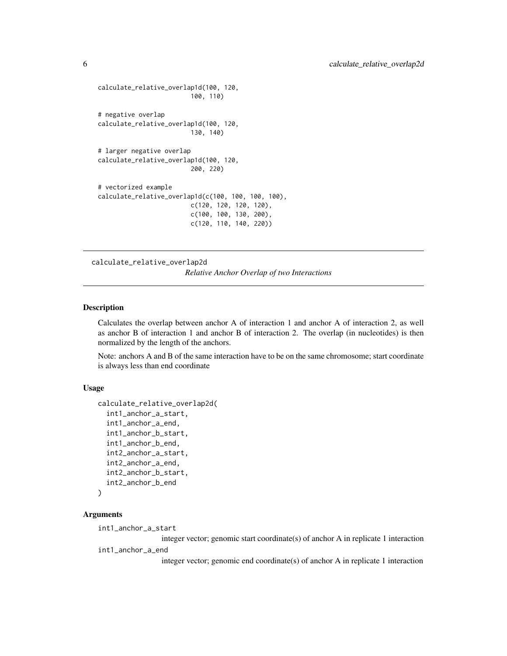```
calculate_relative_overlap1d(100, 120,
                         100, 110)
# negative overlap
calculate_relative_overlap1d(100, 120,
                         130, 140)
# larger negative overlap
calculate_relative_overlap1d(100, 120,
                         200, 220)
# vectorized example
calculate_relative_overlap1d(c(100, 100, 100, 100),
                         c(120, 120, 120, 120),
                         c(100, 100, 130, 200),
                         c(120, 110, 140, 220))
```
calculate\_relative\_overlap2d

*Relative Anchor Overlap of two Interactions*

# Description

Calculates the overlap between anchor A of interaction 1 and anchor A of interaction 2, as well as anchor B of interaction 1 and anchor B of interaction 2. The overlap (in nucleotides) is then normalized by the length of the anchors.

Note: anchors A and B of the same interaction have to be on the same chromosome; start coordinate is always less than end coordinate

#### Usage

```
calculate_relative_overlap2d(
  int1_anchor_a_start,
  int1_anchor_a_end,
  int1_anchor_b_start,
  int1_anchor_b_end,
  int2_anchor_a_start,
  int2_anchor_a_end,
  int2_anchor_b_start,
  int2_anchor_b_end
)
```

```
Arguments
```

```
int1_anchor_a_start
```
integer vector; genomic start coordinate(s) of anchor A in replicate 1 interaction int1\_anchor\_a\_end

integer vector; genomic end coordinate(s) of anchor A in replicate 1 interaction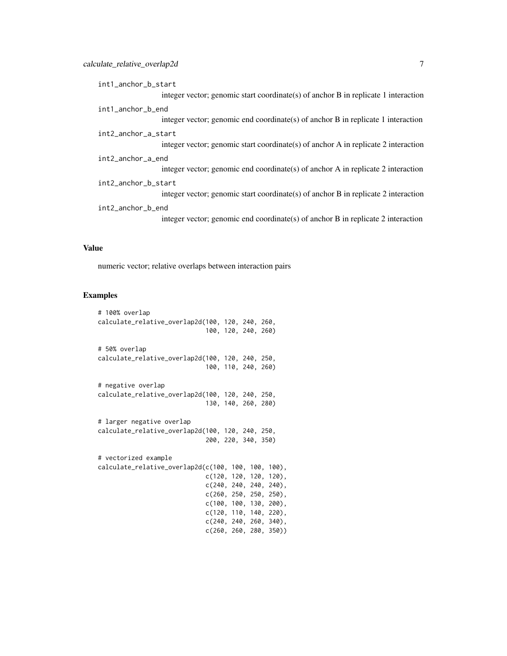| int1_anchor_b_start                                                                  |
|--------------------------------------------------------------------------------------|
| integer vector; genomic start coordinate(s) of anchor $B$ in replicate 1 interaction |
| int1_anchor_b_end                                                                    |
| integer vector; genomic end coordinate(s) of anchor B in replicate 1 interaction     |
| int2_anchor_a_start                                                                  |
| integer vector; genomic start coordinate(s) of anchor A in replicate 2 interaction   |
| int2_anchor_a_end                                                                    |
| integer vector; genomic end coordinate(s) of anchor A in replicate 2 interaction     |
| int2_anchor_b_start                                                                  |
| integer vector; genomic start coordinate(s) of anchor $B$ in replicate 2 interaction |
| int2_anchor_b_end                                                                    |
| integer vector; genomic end coordinate(s) of anchor B in replicate 2 interaction     |

# Value

numeric vector; relative overlaps between interaction pairs

# Examples

| # 100% overlap                                      |                           |
|-----------------------------------------------------|---------------------------|
| calculate_relative_overlap2d(100, 120, 240, 260,    |                           |
|                                                     | 100, 120, 240, 260)       |
|                                                     |                           |
| # 50% overlap                                       |                           |
| calculate_relative_overlap2d(100, 120, 240, 250,    |                           |
|                                                     | 100, 110, 240, 260)       |
|                                                     |                           |
| # negative overlap                                  |                           |
| calculate_relative_overlap2d(100, 120, 240, 250,    |                           |
|                                                     | 130, 140, 260, 280)       |
|                                                     |                           |
| # larger negative overlap                           |                           |
| calculate_relative_overlap2d(100, 120, 240, 250,    |                           |
|                                                     | 200, 220, 340, 350)       |
|                                                     |                           |
| # vectorized example                                |                           |
| calculate_relative_overlap2d(c(100, 100, 100, 100), |                           |
|                                                     | $c(120, 120, 120, 120)$ , |
|                                                     | $c(240, 240, 240, 240)$ , |
|                                                     | $c(260, 250, 250, 250)$ , |
|                                                     | $c(100, 100, 130, 200)$ , |
|                                                     | $c(120, 110, 140, 220)$ , |
|                                                     | $c(240, 240, 260, 340)$ , |
|                                                     | c(260, 260, 280, 350))    |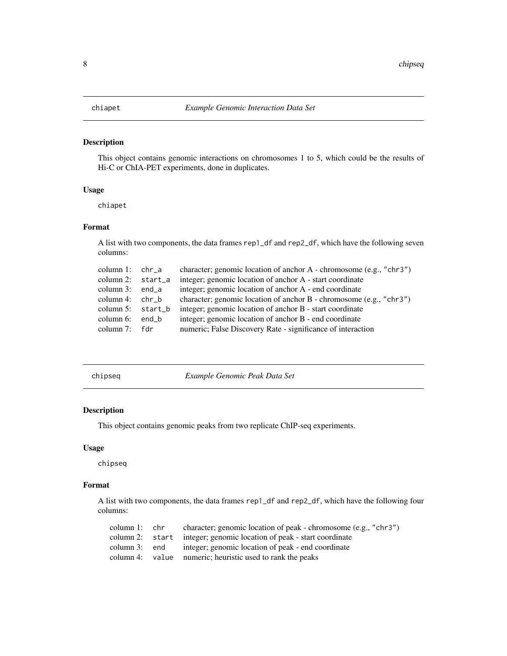# <span id="page-7-0"></span>Description

This object contains genomic interactions on chromosomes 1 to 5, which could be the results of Hi-C or ChIA-PET experiments, done in duplicates.

#### Usage

chiapet

# Format

A list with two components, the data frames rep1\_df and rep2\_df, which have the following seven columns:

| column 1: $chr-a$    | character; genomic location of anchor A - chromosome (e.g., "chr3") |
|----------------------|---------------------------------------------------------------------|
| column 2: $start_a$  | integer; genomic location of anchor A - start coordinate            |
| column $3:$ end $a$  | integer; genomic location of anchor A - end coordinate              |
| column 4: $chr b$    | character; genomic location of anchor B - chromosome (e.g., "chr3") |
| column $5:$ start_b  | integer; genomic location of anchor B - start coordinate            |
| column $6:$ end $\&$ | integer; genomic location of anchor B - end coordinate              |
| column 7: fdr        | numeric; False Discovery Rate - significance of interaction         |
|                      |                                                                     |

|  | chipseq |  |
|--|---------|--|
|  |         |  |

chipseq *Example Genomic Peak Data Set*

#### Description

This object contains genomic peaks from two replicate ChIP-seq experiments.

#### Usage

chipseq

#### Format

A list with two components, the data frames rep1\_df and rep2\_df, which have the following four columns:

| column 1: chr | character; genomic location of peak - chromosome (e.g., "chr3")      |
|---------------|----------------------------------------------------------------------|
|               | column 2: start integer; genomic location of peak - start coordinate |
| column 3: end | integer; genomic location of peak - end coordinate                   |
|               | column 4: value numeric; heuristic used to rank the peaks            |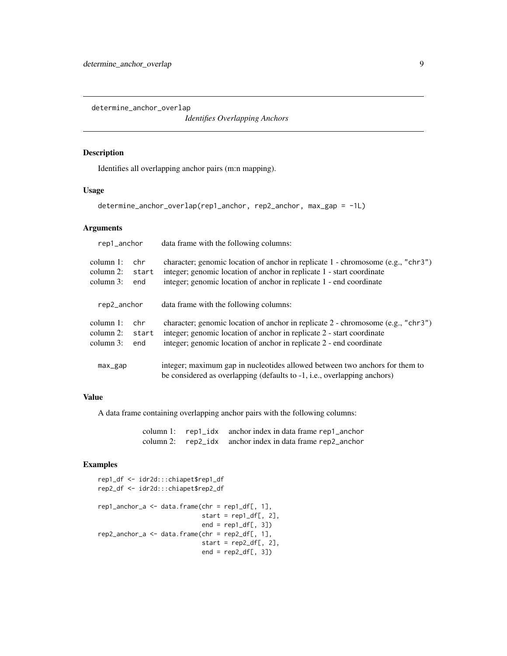<span id="page-8-0"></span>determine\_anchor\_overlap

*Identifies Overlapping Anchors*

#### Description

Identifies all overlapping anchor pairs (m:n mapping).

# Usage

```
determine_anchor_overlap(rep1_anchor, rep2_anchor, max_gap = -1L)
```
# Arguments

| rep1_anchor                                                          |                     | data frame with the following columns:                                                                                                                                                                                           |  |  |
|----------------------------------------------------------------------|---------------------|----------------------------------------------------------------------------------------------------------------------------------------------------------------------------------------------------------------------------------|--|--|
| column $1$ :<br>chr.<br>column $2$ :<br>start<br>column $3$ :<br>end |                     | character; genomic location of anchor in replicate 1 - chromosome (e.g., "chr3")<br>integer; genomic location of anchor in replicate 1 - start coordinate<br>integer; genomic location of anchor in replicate 1 - end coordinate |  |  |
| rep2_anchor                                                          |                     | data frame with the following columns:                                                                                                                                                                                           |  |  |
| column $1$ :<br>column $2$ :<br>column 3:                            | chr<br>start<br>end | character; genomic location of anchor in replicate 2 - chromosome (e.g., "chr3")<br>integer; genomic location of anchor in replicate 2 - start coordinate<br>integer; genomic location of anchor in replicate 2 - end coordinate |  |  |
| $max_{\text{gap}}$                                                   |                     | integer; maximum gap in nucleotides allowed between two anchors for them to<br>be considered as overlapping (defaults to -1, i.e., overlapping anchors)                                                                          |  |  |

# Value

A data frame containing overlapping anchor pairs with the following columns:

column 1: rep1\_idx anchor index in data frame rep1\_anchor column 2: rep2\_idx anchor index in data frame rep2\_anchor

# Examples

```
rep1_df <- idr2d:::chiapet$rep1_df
rep2_df <- idr2d:::chiapet$rep2_df
rep1_anchor_a <- data.frame(chr = rep1_df[, 1],
                            start = rep1_dff, 2],
                            end = rep1_dff[, 3]rep2_anchor_a <- data.frame(chr = rep2_df[, 1],
                            start = rep2_dff, 2],
                            end = rep2_dff[, 3]
```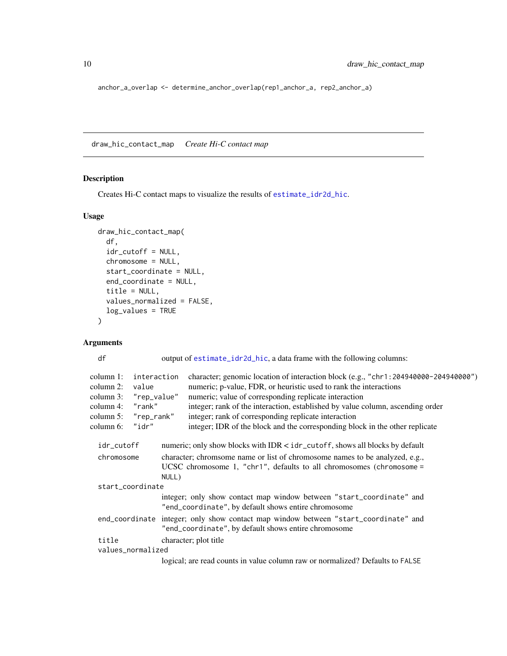anchor\_a\_overlap <- determine\_anchor\_overlap(rep1\_anchor\_a, rep2\_anchor\_a)

draw\_hic\_contact\_map *Create Hi-C contact map*

# Description

Creates Hi-C contact maps to visualize the results of [estimate\\_idr2d\\_hic](#page-28-1).

# Usage

```
draw_hic_contact_map(
  df,
  idr_cutoff = NULL,
 chromosome = NULL,
  start_coordinate = NULL,
 end_coordinate = NULL,
  title = NULL,
  values_normalized = FALSE,
 log_values = TRUE
)
```
# Arguments

df output of [estimate\\_idr2d\\_hic](#page-28-1), a data frame with the following columns:

| column 1:                | interaction |       | character; genomic location of interaction block (e.g., "chr1:204940000-204940000")                                                         |
|--------------------------|-------------|-------|---------------------------------------------------------------------------------------------------------------------------------------------|
| column 2:<br>value       |             |       | numeric; p-value, FDR, or heuristic used to rank the interactions                                                                           |
| column 3:<br>"rep_value" |             |       | numeric; value of corresponding replicate interaction                                                                                       |
| column 4:<br>"rank"      |             |       | integer; rank of the interaction, established by value column, ascending order                                                              |
| "rep_rank"<br>column 5:  |             |       | integer; rank of corresponding replicate interaction                                                                                        |
| column 6:                | "idr"       |       | integer; IDR of the block and the corresponding block in the other replicate                                                                |
| idr_cutoff               |             |       | numeric; only show blocks with IDR < idr_cutoff, shows all blocks by default                                                                |
| chromosome               |             |       | character; chromsome name or list of chromosome names to be analyzed, e.g.,                                                                 |
|                          |             |       | UCSC chromosome 1, "chr1", defaults to all chromosomes (chromosome =                                                                        |
|                          |             | NULL) |                                                                                                                                             |
| start_coordinate         |             |       |                                                                                                                                             |
|                          |             |       | integer; only show contact map window between "start_coordinate" and<br>"end_coordinate", by default shows entire chromosome                |
|                          |             |       | end_coordinate integer; only show contact map window between "start_coordinate" and<br>"end_coordinate", by default shows entire chromosome |
| title                    |             |       | character; plot title                                                                                                                       |
| values_normalized        |             |       |                                                                                                                                             |
|                          |             |       | logical; are read counts in value column raw or normalized? Defaults to FALSE                                                               |
|                          |             |       |                                                                                                                                             |

<span id="page-9-0"></span>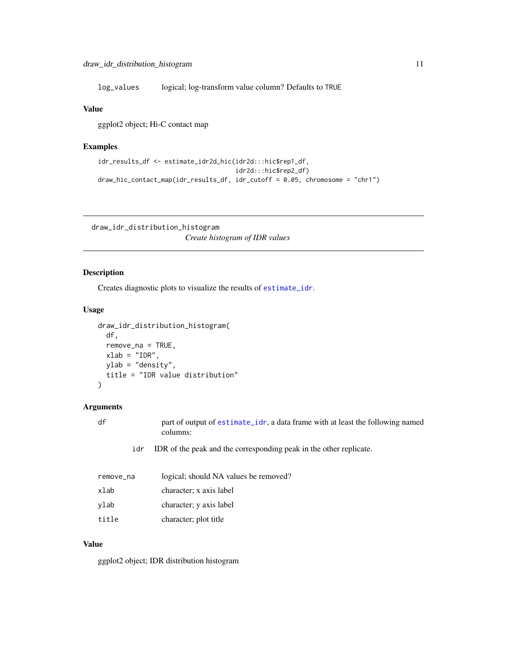<span id="page-10-0"></span>log\_values logical; log-transform value column? Defaults to TRUE

### Value

ggplot2 object; Hi-C contact map

# Examples

```
idr_results_df <- estimate_idr2d_hic(idr2d:::hic$rep1_df,
                                     idr2d:::hic$rep2_df)
draw_hic_contact_map(idr_results_df, idr_cutoff = 0.05, chromosome = "chr1")
```
draw\_idr\_distribution\_histogram

*Create histogram of IDR values*

# Description

Creates diagnostic plots to visualize the results of [estimate\\_idr](#page-21-1).

#### Usage

```
draw_idr_distribution_histogram(
  df,
  remove_na = TRUE,
  xlab = "IDR",ylab = "density",
  title = "IDR value distribution"
)
```
#### Arguments

df part of output of [estimate\\_idr](#page-21-1), a data frame with at least the following named columns:

idr IDR of the peak and the corresponding peak in the other replicate.

| remove_na | logical; should NA values be removed? |
|-----------|---------------------------------------|
| xlab      | character; x axis label               |
| ylab      | character; y axis label               |
| title     | character; plot title                 |

#### Value

ggplot2 object; IDR distribution histogram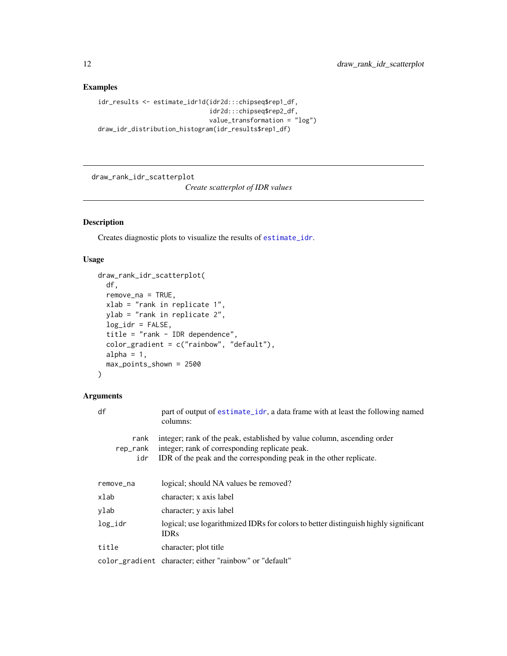# Examples

```
idr_results <- estimate_idr1d(idr2d:::chipseq$rep1_df,
                             idr2d:::chipseq$rep2_df,
                             value_transformation = "log")
draw_idr_distribution_histogram(idr_results$rep1_df)
```
draw\_rank\_idr\_scatterplot

*Create scatterplot of IDR values*

# Description

Creates diagnostic plots to visualize the results of [estimate\\_idr](#page-21-1).

# Usage

```
draw_rank_idr_scatterplot(
 df,
  remove_na = TRUE,
 xlab = "rank in replicate 1",
 ylab = "rank in replicate 2",
 log_idr = FALSE,title = "rank - IDR dependence",
  color_gradient = c("rainbow", "default"),
 alpha = 1,
 max_points_shown = 2500
)
```
# Arguments

| df                      | part of output of estimate_idr, a data frame with at least the following named<br>columns:                                                                                                      |  |  |
|-------------------------|-------------------------------------------------------------------------------------------------------------------------------------------------------------------------------------------------|--|--|
| rank<br>rep_rank<br>idr | integer; rank of the peak, established by value column, ascending order<br>integer; rank of corresponding replicate peak.<br>IDR of the peak and the corresponding peak in the other replicate. |  |  |
| remove_na               | logical; should NA values be removed?                                                                                                                                                           |  |  |
| xlab                    | character; x axis label                                                                                                                                                                         |  |  |
| ylab                    | character; y axis label                                                                                                                                                                         |  |  |
| log_idr                 | logical; use logarithmized IDRs for colors to better distinguish highly significant<br><b>IDRs</b>                                                                                              |  |  |
| title                   | character; plot title                                                                                                                                                                           |  |  |
|                         | color_gradient character; either "rainbow" or "default"                                                                                                                                         |  |  |

<span id="page-11-0"></span>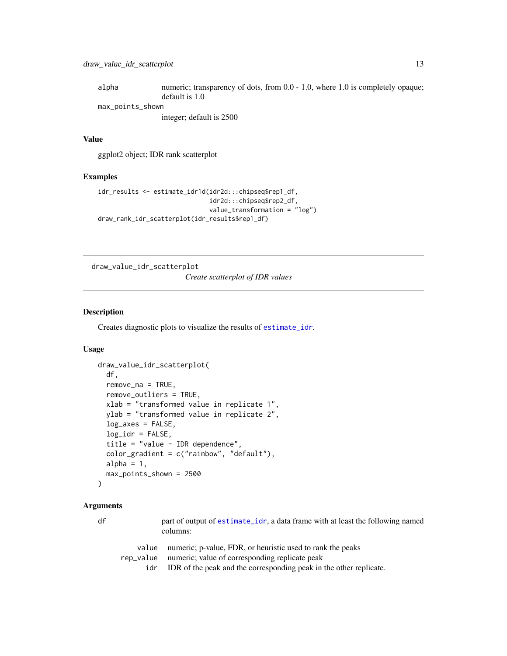<span id="page-12-0"></span>

| alpha            | numeric; transparency of dots, from 0.0 - 1.0, where 1.0 is completely opaque; |
|------------------|--------------------------------------------------------------------------------|
|                  | default is 1.0                                                                 |
| max_points_shown |                                                                                |

integer; default is 2500

#### Value

ggplot2 object; IDR rank scatterplot

# Examples

```
idr_results <- estimate_idr1d(idr2d:::chipseq$rep1_df,
                              idr2d:::chipseq$rep2_df,
                              value_transformation = "log")
draw_rank_idr_scatterplot(idr_results$rep1_df)
```
draw\_value\_idr\_scatterplot

*Create scatterplot of IDR values*

#### Description

Creates diagnostic plots to visualize the results of [estimate\\_idr](#page-21-1).

#### Usage

```
draw_value_idr_scatterplot(
 df,
 remove_na = TRUE,
 remove_outliers = TRUE,
 xlab = "transformed value in replicate 1",
 ylab = "transformed value in replicate 2",
 log_axes = FALSE,
 log_idr = FALSE,title = "value - IDR dependence",
 color_gradient = c("rainbow", "default"),
 alpha = 1,
 max_points_shown = 2500
)
```
# Arguments

| df | part of output of estimate_idr, a data frame with at least the following named<br>columns: |                                                                    |
|----|--------------------------------------------------------------------------------------------|--------------------------------------------------------------------|
|    | value                                                                                      | numeric; p-value, FDR, or heuristic used to rank the peaks         |
|    | rep_value                                                                                  | numeric; value of corresponding replicate peak                     |
|    | idr                                                                                        | IDR of the peak and the corresponding peak in the other replicate. |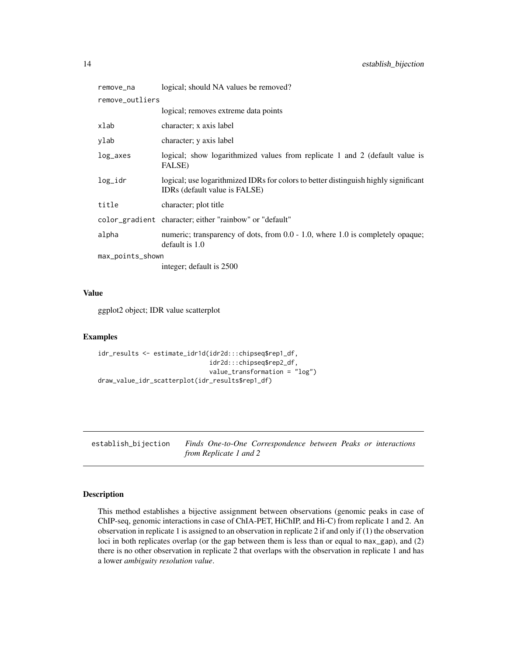<span id="page-13-0"></span>

| remove_na        | logical; should NA values be removed?                                                                                |
|------------------|----------------------------------------------------------------------------------------------------------------------|
| remove_outliers  |                                                                                                                      |
|                  | logical; removes extreme data points                                                                                 |
| xlab             | character; x axis label                                                                                              |
| vlab             | character; y axis label                                                                                              |
| log_axes         | logical; show logarithmized values from replicate 1 and 2 (default value is<br>FALSE)                                |
| log_idr          | logical; use logarithmized IDRs for colors to better distinguish highly significant<br>IDRs (default value is FALSE) |
| title            | character; plot title                                                                                                |
|                  | color_gradient character; either "rainbow" or "default"                                                              |
| alpha            | numeric; transparency of dots, from 0.0 - 1.0, where 1.0 is completely opaque;<br>default is 1.0                     |
| max_points_shown |                                                                                                                      |
|                  | integer; default is 2500                                                                                             |

#### Value

ggplot2 object; IDR value scatterplot

#### Examples

```
idr_results <- estimate_idr1d(idr2d:::chipseq$rep1_df,
                              idr2d:::chipseq$rep2_df,
                              value_transformation = "log")
draw_value_idr_scatterplot(idr_results$rep1_df)
```
establish\_bijection *Finds One-to-One Correspondence between Peaks or interactions from Replicate 1 and 2*

# Description

This method establishes a bijective assignment between observations (genomic peaks in case of ChIP-seq, genomic interactions in case of ChIA-PET, HiChIP, and Hi-C) from replicate 1 and 2. An observation in replicate 1 is assigned to an observation in replicate 2 if and only if (1) the observation loci in both replicates overlap (or the gap between them is less than or equal to max\_gap), and (2) there is no other observation in replicate 2 that overlaps with the observation in replicate 1 and has a lower *ambiguity resolution value*.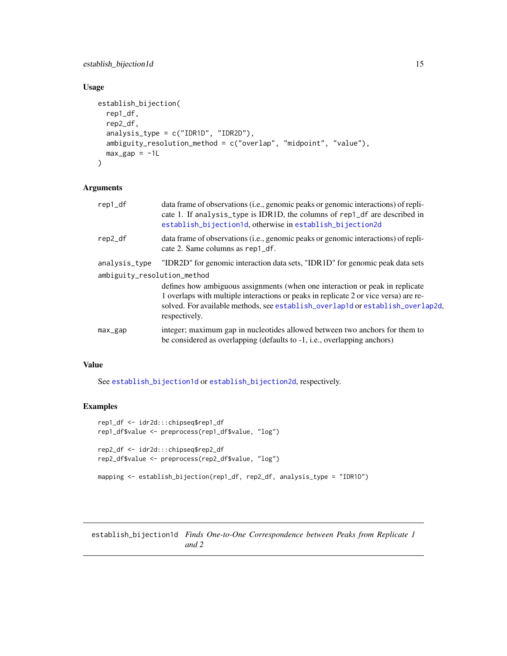# <span id="page-14-0"></span>establish\_bijection1d 15

# Usage

```
establish_bijection(
  rep1_df,
 rep2_df,
 analysis_type = c("IDR1D", "IDR2D"),
 ambiguity_resolution_method = c("overlap", "midpoint", "value"),
 max\_gap = -1L)
```
# Arguments

| rep1_df                     | data frame of observations (i.e., genomic peaks or genomic interactions) of repli-<br>cate 1. If analysis_type is IDR1D, the columns of rep1_df are described in<br>establish_bijection1d, otherwise in establish_bijection2d                                           |
|-----------------------------|-------------------------------------------------------------------------------------------------------------------------------------------------------------------------------------------------------------------------------------------------------------------------|
| rep2_df                     | data frame of observations (i.e., genomic peaks or genomic interactions) of repli-<br>cate 2. Same columns as rep1_df.                                                                                                                                                  |
| analysis_type               | "IDR2D" for genomic interaction data sets, "IDR1D" for genomic peak data sets                                                                                                                                                                                           |
| ambiguity_resolution_method |                                                                                                                                                                                                                                                                         |
|                             | defines how ambiguous assignments (when one interaction or peak in replicate<br>1 overlaps with multiple interactions or peaks in replicate 2 or vice versa) are re-<br>solved. For available methods, see establish_overlap1d or establish_overlap2d,<br>respectively. |
| max_gap                     | integer; maximum gap in nucleotides allowed between two anchors for them to<br>be considered as overlapping (defaults to -1, i.e., overlapping anchors)                                                                                                                 |

# Value

See [establish\\_bijection1d](#page-14-1) or [establish\\_bijection2d](#page-16-1), respectively.

# Examples

```
rep1_df <- idr2d:::chipseq$rep1_df
rep1_df$value <- preprocess(rep1_df$value, "log")
rep2_df <- idr2d:::chipseq$rep2_df
rep2_df$value <- preprocess(rep2_df$value, "log")
mapping <- establish_bijection(rep1_df, rep2_df, analysis_type = "IDR1D")
```
<span id="page-14-1"></span>establish\_bijection1d *Finds One-to-One Correspondence between Peaks from Replicate 1 and 2*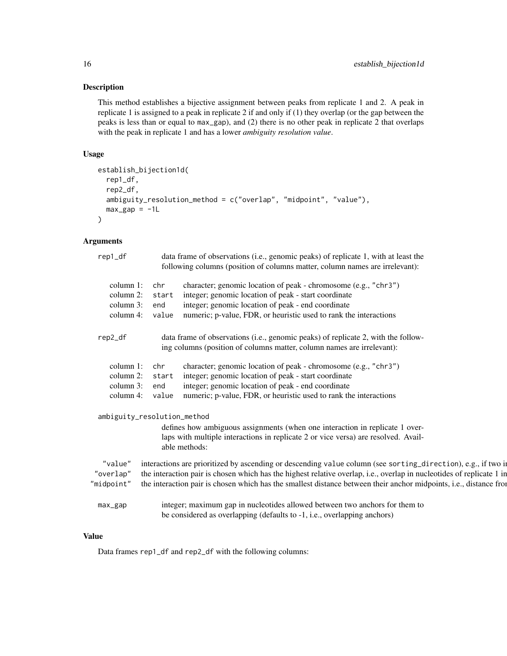# Description

This method establishes a bijective assignment between peaks from replicate 1 and 2. A peak in replicate 1 is assigned to a peak in replicate 2 if and only if (1) they overlap (or the gap between the peaks is less than or equal to max\_gap), and (2) there is no other peak in replicate 2 that overlaps with the peak in replicate 1 and has a lower *ambiguity resolution value*.

# Usage

```
establish_bijection1d(
  rep1_df,
  rep2_df,
  ambiguity_resolution_method = c("overlap", "midpoint", "value"),
 max\_gap = -1L)
```
# Arguments

| rep1_df                | data frame of observations (i.e., genomic peaks) of replicate 1, with at least the<br>following columns (position of columns matter, column names are irrelevant):                  |
|------------------------|-------------------------------------------------------------------------------------------------------------------------------------------------------------------------------------|
| column 1:<br>column 2: | character; genomic location of peak - chromosome (e.g., "chr3")<br>integer; genomic location of peak - start coordinate                                                             |
| column 3:              | integer; genomic location of peak - end coordinate<br>enc                                                                                                                           |
| column 4:              | numeric; p-value, FDR, or heuristic used to rank the interactions<br>value                                                                                                          |
| rep2_df                | data frame of observations (i.e., genomic peaks) of replicate 2, with the follow-<br>ing columns (position of columns matter, column names are irrelevant):                         |
| column 1:              | character; genomic location of peak - chromosome (e.g., "chr3")<br>– chi                                                                                                            |
| column 2:              | integer; genomic location of peak - start coordinate<br>star                                                                                                                        |
| column 3:              | integer; genomic location of peak - end coordinate                                                                                                                                  |
| column 4:              | numeric; p-value, FDR, or heuristic used to rank the interactions<br>value                                                                                                          |
|                        | ambiguity_resolution_method                                                                                                                                                         |
|                        | defines how ambiguous assignments (when one interaction in replicate 1 over-<br>laps with multiple interactions in replicate 2 or vice versa) are resolved. Avail-<br>able methods: |
| "value"                | interactions are prioritized by ascending or descending value column (see sorting_direction), e.g., if two in                                                                       |
| "overlap"              | the interaction pair is chosen which has the highest relative overlap, i.e., overlap in nucleotides of replicate 1 in                                                               |
| "midpoint"             | the interaction pair is chosen which has the smallest distance between their anchor midpoints, i.e., distance from                                                                  |
| max_gap                | integer; maximum gap in nucleotides allowed between two anchors for them to<br>be considered as overlapping (defaults to -1, i.e., overlapping anchors)                             |

### Value

Data frames rep1\_df and rep2\_df with the following columns: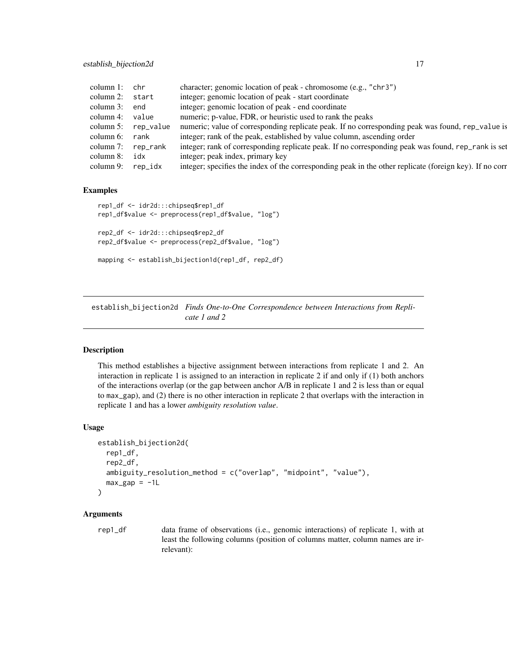<span id="page-16-0"></span>

| column 1:       | chr                   | character; genomic location of peak - chromosome (e.g., "chr3")                                         |
|-----------------|-----------------------|---------------------------------------------------------------------------------------------------------|
| column 2: start |                       | integer; genomic location of peak - start coordinate                                                    |
| column 3:       | end                   | integer; genomic location of peak - end coordinate                                                      |
| column 4:       | value                 | numeric; p-value, FDR, or heuristic used to rank the peaks                                              |
|                 | column $5:$ rep_value | numeric; value of corresponding replicate peak. If no corresponding peak was found, rep_value is        |
| column 6:       | rank                  | integer; rank of the peak, established by value column, ascending order                                 |
| column 7:       | rep_rank              | integer; rank of corresponding replicate peak. If no corresponding peak was found, rep_rank is set      |
| column 8:       | idx                   | integer; peak index, primary key                                                                        |
| column 9:       | rep_idx               | integer; specifies the index of the corresponding peak in the other replicate (foreign key). If no corr |
|                 |                       |                                                                                                         |

#### Examples

```
rep1_df <- idr2d:::chipseq$rep1_df
rep1_df$value <- preprocess(rep1_df$value, "log")
rep2_df <- idr2d:::chipseq$rep2_df
rep2_df$value <- preprocess(rep2_df$value, "log")
mapping <- establish_bijection1d(rep1_df, rep2_df)
```
<span id="page-16-1"></span>establish\_bijection2d *Finds One-to-One Correspondence between Interactions from Replicate 1 and 2*

### Description

This method establishes a bijective assignment between interactions from replicate 1 and 2. An interaction in replicate 1 is assigned to an interaction in replicate 2 if and only if (1) both anchors of the interactions overlap (or the gap between anchor A/B in replicate 1 and 2 is less than or equal to max\_gap), and (2) there is no other interaction in replicate 2 that overlaps with the interaction in replicate 1 and has a lower *ambiguity resolution value*.

#### Usage

```
establish_bijection2d(
  rep1_df,
  rep2_df,
  ambiguity_resolution_method = c("overlap", "midpoint", "value"),
 max\_gap = -1L)
```
# Arguments

rep1\_df data frame of observations (i.e., genomic interactions) of replicate 1, with at least the following columns (position of columns matter, column names are irrelevant):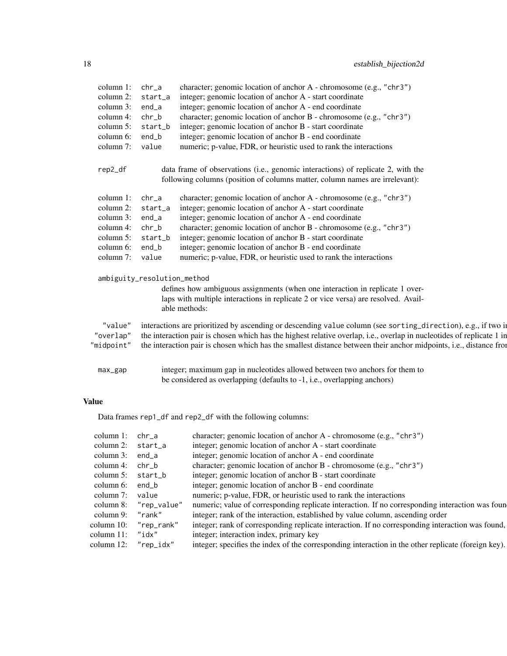| column 1: chr_a      |                             | character; genomic location of anchor A - chromosome (e.g., "chr3")                                                   |
|----------------------|-----------------------------|-----------------------------------------------------------------------------------------------------------------------|
|                      | column 2: $start_a$         | integer; genomic location of anchor A - start coordinate                                                              |
| column 3: end_a      |                             | integer; genomic location of anchor A - end coordinate                                                                |
| column 4: $chr_b$    |                             | character; genomic location of anchor B - chromosome (e.g., "chr3")                                                   |
|                      | column $5:$ start b         | integer; genomic location of anchor B - start coordinate                                                              |
| column 6: end_b      |                             | integer; genomic location of anchor B - end coordinate                                                                |
| column 7: value      |                             | numeric; p-value, FDR, or heuristic used to rank the interactions                                                     |
| rep2_df              |                             | data frame of observations (i.e., genomic interactions) of replicate 2, with the                                      |
|                      |                             | following columns (position of columns matter, column names are irrelevant):                                          |
| column $1:$ chr a    |                             | character; genomic location of anchor A - chromosome (e.g., "chr3")                                                   |
|                      | column 2: $start_a$         | integer; genomic location of anchor A - start coordinate                                                              |
| column $3:$ end_a    |                             | integer; genomic location of anchor A - end coordinate                                                                |
| column 4: $chr_b$    |                             | character; genomic location of anchor B - chromosome (e.g., "chr3")                                                   |
|                      | column 5: $start_b$         | integer; genomic location of anchor B - start coordinate                                                              |
| column $6:$ end $\&$ |                             | integer; genomic location of anchor B - end coordinate                                                                |
| column 7: value      |                             | numeric; p-value, FDR, or heuristic used to rank the interactions                                                     |
|                      | ambiguity_resolution_method |                                                                                                                       |
|                      |                             | defines how ambiguous assignments (when one interaction in replicate 1 over-                                          |
|                      |                             | laps with multiple interactions in replicate 2 or vice versa) are resolved. Avail-                                    |
|                      | able methods:               |                                                                                                                       |
| "value"              |                             | interactions are prioritized by ascending or descending value column (see sorting_direction), e.g., if two in         |
| "overlap"            |                             | the interaction pair is chosen which has the highest relative overlap, i.e., overlap in nucleotides of replicate 1 in |
| "midpoint"           |                             | the interaction pair is chosen which has the smallest distance between their anchor midpoints, i.e., distance from    |
|                      |                             |                                                                                                                       |
|                      |                             | integer; maximum gap in nucleotides allowed between two anchors for them to                                           |
| max_gap              |                             | be considered as overlapping (defaults to -1, i.e., overlapping anchors)                                              |
|                      |                             |                                                                                                                       |
| <b>Value</b>         |                             |                                                                                                                       |
|                      |                             |                                                                                                                       |
|                      |                             | Data frames rep1_df and rep2_df with the following columns:                                                           |
| column $1:$ chr_a    |                             | character; genomic location of anchor A - chromosome (e.g., "chr3")                                                   |
| column 2: start_a    |                             | integer; genomic location of anchor A - start coordinate                                                              |
| column 3: end_a      |                             | integer; genomic location of anchor A - end coordinate                                                                |
| column 4: $chr b$    |                             | character; genomic location of anchor B - chromosome (e.g., "chr3")                                                   |
| column 5: start_b    |                             | integer; genomic location of anchor B - start coordinate                                                              |
|                      |                             |                                                                                                                       |

column 8: "rep\_value" numeric; value of corresponding replicate interaction. If no corresponding interaction was found column 9: "rank" integer; rank of the interaction, established by value column, ascending order

column 10: "rep\_rank" integer; rank of corresponding replicate interaction. If no corresponding interaction was found,

column 12: "rep\_idx" integer; specifies the index of the corresponding interaction in the other replicate (foreign key).

column 6: end\_b integer; genomic location of anchor B - end coordinate

column 11: "idx" integer; interaction index, primary key

column 7: value numeric; p-value, FDR, or heuristic used to rank the interactions column 8: "rep\_value" numeric; value of corresponding replicate interaction. If no corre

column 9: "rank" integer; rank of the interaction, established by value column, ascending order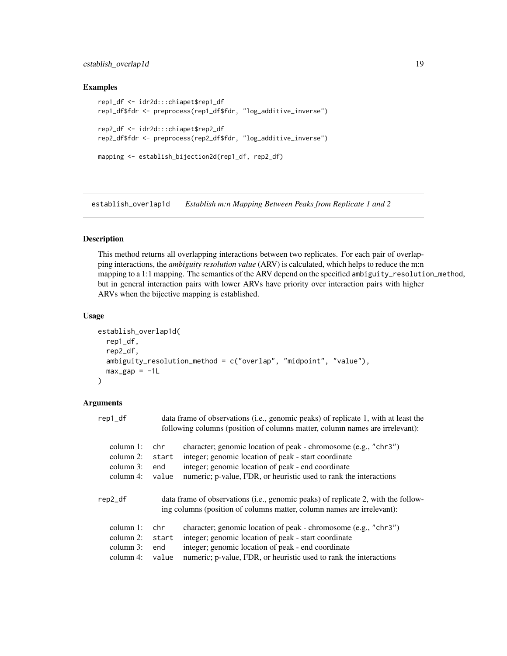# <span id="page-18-0"></span>establish\_overlap1d 19

#### Examples

```
rep1_df <- idr2d:::chiapet$rep1_df
rep1_df$fdr <- preprocess(rep1_df$fdr, "log_additive_inverse")
rep2_df <- idr2d:::chiapet$rep2_df
rep2_df$fdr <- preprocess(rep2_df$fdr, "log_additive_inverse")
mapping <- establish_bijection2d(rep1_df, rep2_df)
```
<span id="page-18-1"></span>establish\_overlap1d *Establish m:n Mapping Between Peaks from Replicate 1 and 2*

#### Description

This method returns all overlapping interactions between two replicates. For each pair of overlapping interactions, the *ambiguity resolution value* (ARV) is calculated, which helps to reduce the m:n mapping to a 1:1 mapping. The semantics of the ARV depend on the specified ambiguity\_resolution\_method, but in general interaction pairs with lower ARVs have priority over interaction pairs with higher ARVs when the bijective mapping is established.

#### Usage

```
establish_overlap1d(
  rep1_df,
  rep2_df,
  ambiguity_resolution_method = c("overlap", "midpoint", "value"),
 max\_gap = -1L\lambda
```
### Arguments

| rep1_df      |       | data frame of observations (i.e., genomic peaks) of replicate 1, with at least the<br>following columns (position of columns matter, column names are irrelevant): |
|--------------|-------|--------------------------------------------------------------------------------------------------------------------------------------------------------------------|
| column $1$ : | chr   | character; genomic location of peak - chromosome (e.g., "chr3")                                                                                                    |
| column $2$ : | start | integer; genomic location of peak - start coordinate                                                                                                               |
| column 3:    | end   | integer; genomic location of peak - end coordinate                                                                                                                 |
| column $4$ : | value | numeric; p-value, FDR, or heuristic used to rank the interactions                                                                                                  |
| rep2_df      |       | data frame of observations (i.e., genomic peaks) of replicate 2, with the follow-<br>ing columns (position of columns matter, column names are irrelevant):        |
| column $1$ : | chr.  | character; genomic location of peak - chromosome (e.g., "chr3")                                                                                                    |
| column $2$ : | start | integer; genomic location of peak - start coordinate                                                                                                               |
| column $3$ : | end   | integer; genomic location of peak - end coordinate                                                                                                                 |
| column $4$ : | value | numeric; p-value, FDR, or heuristic used to rank the interactions                                                                                                  |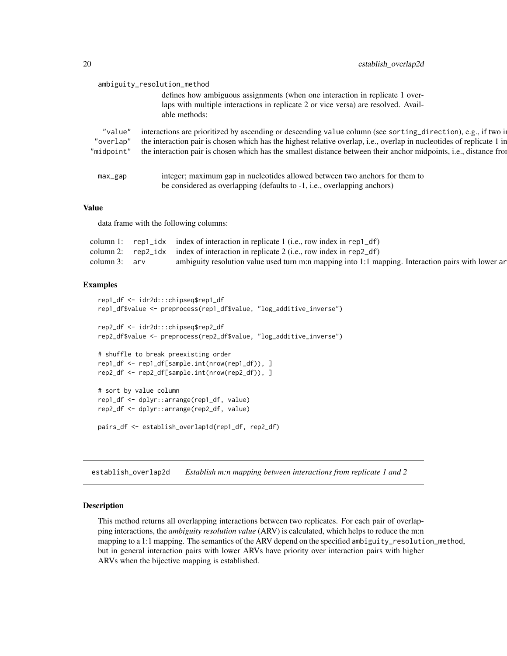<span id="page-19-0"></span>

|         | ambiguity_resolution_method                                                                                                                                        |
|---------|--------------------------------------------------------------------------------------------------------------------------------------------------------------------|
|         | defines how ambiguous assignments (when one interaction in replicate 1 over-<br>laps with multiple interactions in replicate 2 or vice versa) are resolved. Avail- |
|         | able methods:                                                                                                                                                      |
| "value" | interactions are prioritized by ascending or descending value column (see sorting_direction), e.g., if two in                                                      |
|         | "overlap" the interaction pair is chosen which has the highest relative overlap, i.e., overlap in nucleotides of replicate 1 in                                    |
|         | "midpoint" the interaction pair is chosen which has the smallest distance between their anchor midpoints, i.e., distance from                                      |
|         |                                                                                                                                                                    |
| max_gap | integer; maximum gap in nucleotides allowed between two anchors for them to                                                                                        |
|         | be considered as overlapping (defaults to -1, i.e., overlapping anchors)                                                                                           |
|         |                                                                                                                                                                    |

#### Value

data frame with the following columns:

|                 | column 1: $rep1\_idx$ index of interaction in replicate 1 (i.e., row index in rep1 $df$ )           |
|-----------------|-----------------------------------------------------------------------------------------------------|
|                 | column 2: $rep2\_idx$ index of interaction in replicate 2 (i.e., row index in rep2_df)              |
| column $3:$ arv | ambiguity resolution value used turn m:n mapping into 1:1 mapping. Interaction pairs with lower are |

#### Examples

```
rep1_df <- idr2d:::chipseq$rep1_df
rep1_df$value <- preprocess(rep1_df$value, "log_additive_inverse")
rep2_df <- idr2d:::chipseq$rep2_df
rep2_df$value <- preprocess(rep2_df$value, "log_additive_inverse")
# shuffle to break preexisting order
rep1_df <- rep1_df[sample.int(nrow(rep1_df)), ]
rep2_df <- rep2_df[sample.int(nrow(rep2_df)), ]
# sort by value column
rep1_df <- dplyr::arrange(rep1_df, value)
rep2_df <- dplyr::arrange(rep2_df, value)
pairs_df <- establish_overlap1d(rep1_df, rep2_df)
```
<span id="page-19-1"></span>establish\_overlap2d *Establish m:n mapping between interactions from replicate 1 and 2*

# Description

This method returns all overlapping interactions between two replicates. For each pair of overlapping interactions, the *ambiguity resolution value* (ARV) is calculated, which helps to reduce the m:n mapping to a 1:1 mapping. The semantics of the ARV depend on the specified ambiguity\_resolution\_method, but in general interaction pairs with lower ARVs have priority over interaction pairs with higher ARVs when the bijective mapping is established.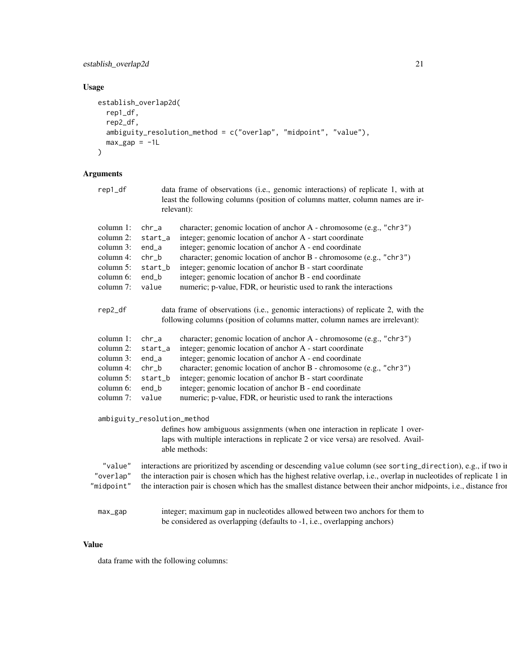# establish\_overlap2d 21

# Usage

```
establish_overlap2d(
  rep1_df,
  rep2_df,
  ambiguity_resolution_method = c("overlap", "midpoint", "value"),
  max\_gap = -1L\mathcal{L}
```
# Arguments

| rep1_df                                                                                                       | data frame of observations (i.e., genomic interactions) of replicate 1, with at<br>least the following columns (position of columns matter, column names are ir-<br>relevant):                                                                                                                                                                                                                                                                                                                             |
|---------------------------------------------------------------------------------------------------------------|------------------------------------------------------------------------------------------------------------------------------------------------------------------------------------------------------------------------------------------------------------------------------------------------------------------------------------------------------------------------------------------------------------------------------------------------------------------------------------------------------------|
| column 1:<br>column 2:<br>column 3:<br>column 4:<br>column 5: start b<br>column 6:<br>column 7: value         | character; genomic location of anchor A - chromosome (e.g., "chr3")<br>chr a<br>integer; genomic location of anchor A - start coordinate<br>start_a<br>integer; genomic location of anchor A - end coordinate<br>end_a<br>character; genomic location of anchor B - chromosome (e.g., "chr3")<br>chr b<br>integer; genomic location of anchor B - start coordinate<br>integer; genomic location of anchor B - end coordinate<br>end b<br>numeric; p-value, FDR, or heuristic used to rank the interactions |
| rep2_df                                                                                                       | data frame of observations (i.e., genomic interactions) of replicate 2, with the<br>following columns (position of columns matter, column names are irrelevant):                                                                                                                                                                                                                                                                                                                                           |
| column 1:<br>column 2:<br>column 3:<br>column 4:<br>column 5: start b<br>column $6:$ end b<br>column 7: value | character; genomic location of anchor A - chromosome (e.g., "chr3")<br>chr a<br>integer; genomic location of anchor A - start coordinate<br>start a<br>integer; genomic location of anchor A - end coordinate<br>end_a<br>character; genomic location of anchor B - chromosome (e.g., "chr3")<br>chr b<br>integer; genomic location of anchor B - start coordinate<br>integer; genomic location of anchor B - end coordinate<br>numeric; p-value, FDR, or heuristic used to rank the interactions          |
|                                                                                                               | ambiguity_resolution_method<br>defines how ambiguous assignments (when one interaction in replicate 1 over-<br>laps with multiple interactions in replicate 2 or vice versa) are resolved. Avail-<br>able methods:                                                                                                                                                                                                                                                                                         |
| "value"<br>"overlap"<br>"midpoint"                                                                            | interactions are prioritized by ascending or descending value column (see sorting_direction), e.g., if two in<br>the interaction pair is chosen which has the highest relative overlap, i.e., overlap in nucleotides of replicate 1 in<br>the interaction pair is chosen which has the smallest distance between their anchor midpoints, i.e., distance from                                                                                                                                               |
| max_gap                                                                                                       | integer; maximum gap in nucleotides allowed between two anchors for them to<br>be considered as overlapping (defaults to -1, i.e., overlapping anchors)                                                                                                                                                                                                                                                                                                                                                    |

### Value

data frame with the following columns: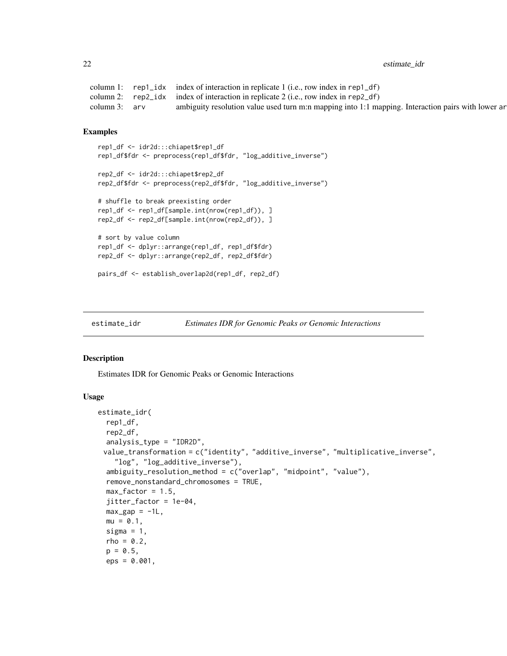<span id="page-21-0"></span>22 estimate\_idr

```
column 1: rep1_idx index of interaction in replicate 1 (i.e., row index in rep1_df)
column 2: rep2_idx index of interaction in replicate 2 (i.e., row index in rep2_df)
column 3: arv ambiguity resolution value used turn m:n mapping into 1:1 mapping. Interaction pairs with lower ar
```
#### Examples

```
rep1_df <- idr2d:::chiapet$rep1_df
rep1_df$fdr <- preprocess(rep1_df$fdr, "log_additive_inverse")
rep2_df <- idr2d:::chiapet$rep2_df
rep2_df$fdr <- preprocess(rep2_df$fdr, "log_additive_inverse")
# shuffle to break preexisting order
rep1_df <- rep1_df[sample.int(nrow(rep1_df)), ]
rep2_df <- rep2_df[sample.int(nrow(rep2_df)), ]
# sort by value column
rep1_df <- dplyr::arrange(rep1_df, rep1_df$fdr)
rep2_df <- dplyr::arrange(rep2_df, rep2_df$fdr)
pairs_df <- establish_overlap2d(rep1_df, rep2_df)
```
<span id="page-21-1"></span>

```
estimate_idr Estimates IDR for Genomic Peaks or Genomic Interactions
```
#### **Description**

Estimates IDR for Genomic Peaks or Genomic Interactions

#### Usage

```
estimate_idr(
  rep1_df,
  rep2_df,
  analysis_type = "IDR2D",
 value_transformation = c("identity", "additive_inverse", "multiplicative_inverse",
    "log", "log_additive_inverse"),
  ambiguity_resolution_method = c("overlap", "midpoint", "value"),
  remove_nonstandard_chromosomes = TRUE,
  max_factor = 1.5,
  jitter_factor = 1e-04,
 max\_gap = -1L,
 mu = 0.1,
  sigma = 1,
  rho = 0.2,
  p = 0.5,
  eps = 0.001,
```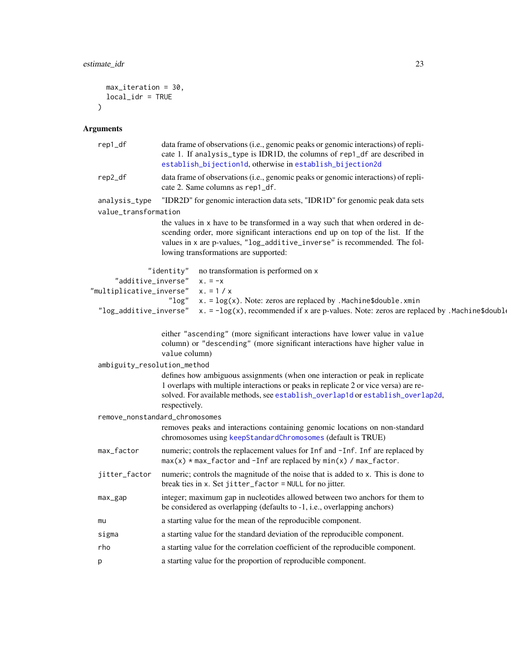```
max_iteration = 30,
  local_idr = TRUE
\overline{)}
```
# Arguments

| rep1_df                                                                                                                           | data frame of observations (i.e., genomic peaks or genomic interactions) of repli-<br>cate 1. If analysis_type is IDR1D, the columns of rep1_df are described in<br>establish_bijection1d, otherwise in establish_bijection2d                                                          |  |
|-----------------------------------------------------------------------------------------------------------------------------------|----------------------------------------------------------------------------------------------------------------------------------------------------------------------------------------------------------------------------------------------------------------------------------------|--|
| data frame of observations (i.e., genomic peaks or genomic interactions) of repli-<br>rep2_df<br>cate 2. Same columns as rep1_df. |                                                                                                                                                                                                                                                                                        |  |
| "IDR2D" for genomic interaction data sets, "IDR1D" for genomic peak data sets<br>analysis_type                                    |                                                                                                                                                                                                                                                                                        |  |
| value_transformation                                                                                                              |                                                                                                                                                                                                                                                                                        |  |
|                                                                                                                                   | the values in x have to be transformed in a way such that when ordered in de-<br>scending order, more significant interactions end up on top of the list. If the<br>values in x are p-values, "log_additive_inverse" is recommended. The fol-<br>lowing transformations are supported: |  |
|                                                                                                                                   | "identity"<br>no transformation is performed on x                                                                                                                                                                                                                                      |  |
| "additive_inverse"                                                                                                                | $x = -x$                                                                                                                                                                                                                                                                               |  |
| "multiplicative_inverse"                                                                                                          | $x = 1 / x$                                                                                                                                                                                                                                                                            |  |
|                                                                                                                                   | "log"<br>$x. = log(x)$ . Note: zeros are replaced by . Machine\$double. xmin                                                                                                                                                                                                           |  |
| "log_additive_inverse"                                                                                                            | x. = $-\log(x)$ , recommended if x are p-values. Note: zeros are replaced by . Machine\$double                                                                                                                                                                                         |  |
|                                                                                                                                   | either "ascending" (more significant interactions have lower value in value<br>column) or "descending" (more significant interactions have higher value in<br>value column)                                                                                                            |  |
| ambiguity_resolution_method                                                                                                       |                                                                                                                                                                                                                                                                                        |  |
|                                                                                                                                   | defines how ambiguous assignments (when one interaction or peak in replicate<br>1 overlaps with multiple interactions or peaks in replicate 2 or vice versa) are re-<br>solved. For available methods, see establish_overlap1d or establish_overlap2d,<br>respectively.                |  |
| remove_nonstandard_chromosomes                                                                                                    |                                                                                                                                                                                                                                                                                        |  |
|                                                                                                                                   | removes peaks and interactions containing genomic locations on non-standard<br>chromosomes using keepStandardChromosomes (default is TRUE)                                                                                                                                             |  |
| max_factor                                                                                                                        | numeric; controls the replacement values for Inf and -Inf. Inf are replaced by<br>$max(x) * max_f$ actor and -Inf are replaced by $min(x) / max_f$ actor.                                                                                                                              |  |
| jitter_factor                                                                                                                     | numeric; controls the magnitude of the noise that is added to x. This is done to<br>break ties in x. Set jitter_factor = NULL for no jitter.                                                                                                                                           |  |
| $max_{\text{gap}}$                                                                                                                | integer; maximum gap in nucleotides allowed between two anchors for them to<br>be considered as overlapping (defaults to -1, i.e., overlapping anchors)                                                                                                                                |  |
| mu                                                                                                                                | a starting value for the mean of the reproducible component.                                                                                                                                                                                                                           |  |
| sigma                                                                                                                             | a starting value for the standard deviation of the reproducible component.                                                                                                                                                                                                             |  |
| rho                                                                                                                               | a starting value for the correlation coefficient of the reproducible component.                                                                                                                                                                                                        |  |
| р                                                                                                                                 | a starting value for the proportion of reproducible component.                                                                                                                                                                                                                         |  |
|                                                                                                                                   |                                                                                                                                                                                                                                                                                        |  |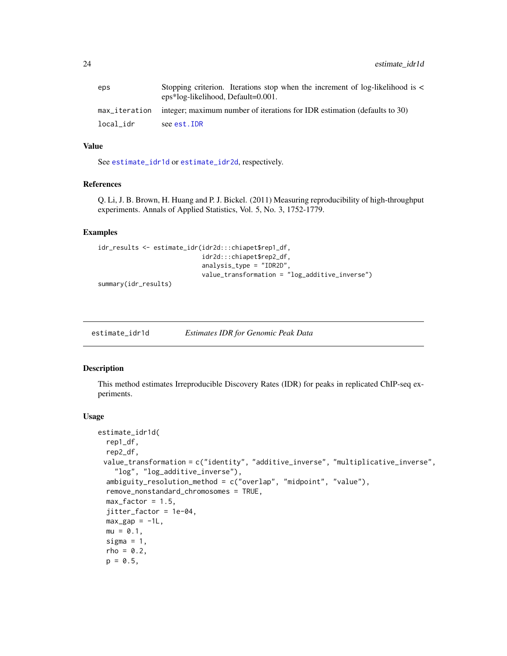<span id="page-23-0"></span>24 estimate\_idr1d

| eps       | Stopping criterion. Iterations stop when the increment of log-likelihood is <<br>eps*log-likelihood, Default=0.001. |
|-----------|---------------------------------------------------------------------------------------------------------------------|
|           | max_iteration integer; maximum number of iterations for IDR estimation (defaults to 30)                             |
| local_idr | see est.IDR                                                                                                         |

# Value

See [estimate\\_idr1d](#page-23-1) or [estimate\\_idr2d](#page-26-1), respectively.

# References

Q. Li, J. B. Brown, H. Huang and P. J. Bickel. (2011) Measuring reproducibility of high-throughput experiments. Annals of Applied Statistics, Vol. 5, No. 3, 1752-1779.

# Examples

```
idr_results <- estimate_idr(idr2d:::chiapet$rep1_df,
                            idr2d:::chiapet$rep2_df,
                            analysis_type = "IDR2D",
                            value_transformation = "log_additive_inverse")
```
summary(idr\_results)

<span id="page-23-1"></span>estimate\_idr1d *Estimates IDR for Genomic Peak Data*

# Description

This method estimates Irreproducible Discovery Rates (IDR) for peaks in replicated ChIP-seq experiments.

#### Usage

```
estimate_idr1d(
 rep1_df,
  rep2_df,
 value_transformation = c("identity", "additive_inverse", "multiplicative_inverse",
    "log", "log_additive_inverse"),
  ambiguity_resolution_method = c("overlap", "midpoint", "value"),
  remove_nonstandard_chromosomes = TRUE,
 max_factor = 1.5,
  jitter_factor = 1e-04,
 max\_gap = -1L,
 mu = 0.1,
  sigma = 1,
  rho = 0.2,
 p = 0.5,
```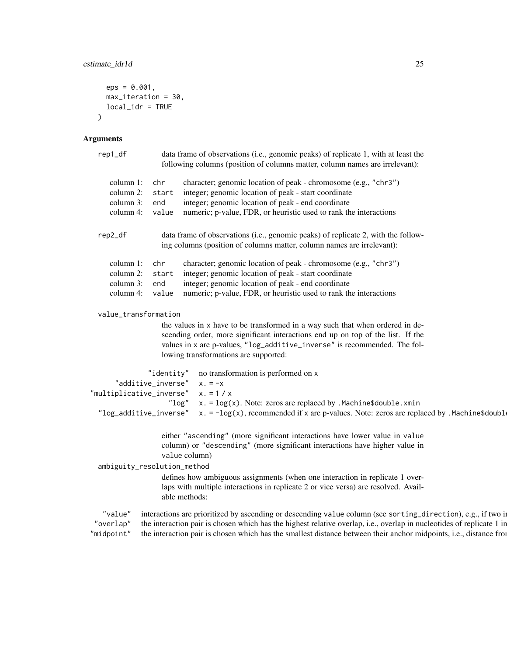```
eps = 0.001,max_iteration = 30,
  local_idr = TRUE
)
```
#### Arguments

```
rep1_df data frame of observations (i.e., genomic peaks) of replicate 1, with at least the
                    following columns (position of columns matter, column names are irrelevant):
     column 1: chr character; genomic location of peak - chromosome (e.g., "chr3")
     column 2: start integer; genomic location of peak - start coordinate
     column 3: end integer; genomic location of peak - end coordinate
     column 4: value numeric; p-value, FDR, or heuristic used to rank the interactions
  rep2_df data frame of observations (i.e., genomic peaks) of replicate 2, with the follow-
                    ing columns (position of columns matter, column names are irrelevant):
     column 1: chr character; genomic location of peak - chromosome (e.g., "chr3")
     column 2: start integer; genomic location of peak - start coordinate
     column 3: end integer; genomic location of peak - end coordinate
     column 4: value numeric; p-value, FDR, or heuristic used to rank the interactions
  value_transformation
                    the values in x have to be transformed in a way such that when ordered in de-
                    scending order, more significant interactions end up on top of the list. If the
                    values in x are p-values, "log_additive_inverse" is recommended. The fol-
                    lowing transformations are supported:
                "identity" no transformation is performed on x
      "additive_inverse" x. = -x"multiplicative_inverse" x. = 1 / x
                      "\log" x. = \log(x). Note: zeros are replaced by . Machine$double. xmin
  "log_additive_inverse" x. = -\log(x), recommended if x are p-values. Note: zeros are replaced by .Machine$double
                    either "ascending" (more significant interactions have lower value in value
                    column) or "descending" (more significant interactions have higher value in
                    value column)
  ambiguity_resolution_method
                    defines how ambiguous assignments (when one interaction in replicate 1 over-
                    laps with multiple interactions in replicate 2 or vice versa) are resolved. Avail-
                    able methods:
   "value" interactions are prioritized by ascending or descending value column (see sorting_direction), e.g., if two i
 "overlap" the interaction pair is chosen which has the highest relative overlap, i.e., overlap in nucleotides of replicate 1 in
"midpoint" the interaction pair is chosen which has the smallest distance between their anchor midpoints, i.e., distance from
```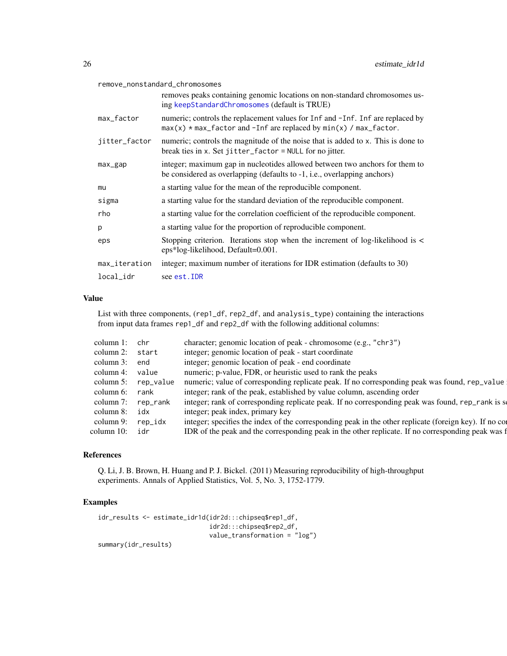#### <span id="page-25-0"></span>remove\_nonstandard\_chromosomes

|               | removes peaks containing genomic locations on non-standard chromosomes us-<br>ing keepStandardChromosomes (default is TRUE)                               |
|---------------|-----------------------------------------------------------------------------------------------------------------------------------------------------------|
| max_factor    | numeric; controls the replacement values for Inf and -Inf. Inf are replaced by<br>$max(x) * max_f$ actor and -Inf are replaced by $min(x) / max_f$ actor. |
| jitter_factor | numeric; controls the magnitude of the noise that is added to x. This is done to<br>break ties in x. Set jitter_factor = NULL for no jitter.              |
| max_gap       | integer; maximum gap in nucleotides allowed between two anchors for them to<br>be considered as overlapping (defaults to -1, i.e., overlapping anchors)   |
| mu            | a starting value for the mean of the reproducible component.                                                                                              |
| sigma         | a starting value for the standard deviation of the reproducible component.                                                                                |
| rho           | a starting value for the correlation coefficient of the reproducible component.                                                                           |
| p             | a starting value for the proportion of reproducible component.                                                                                            |
| eps           | Stopping criterion. Iterations stop when the increment of log-likelihood is $\lt$<br>eps*log-likelihood, Default=0.001.                                   |
| max_iteration | integer; maximum number of iterations for IDR estimation (defaults to 30)                                                                                 |
| local idr     | see est. IDR                                                                                                                                              |

#### Value

List with three components, (rep1\_df, rep2\_df, and analysis\_type) containing the interactions from input data frames rep1\_df and rep2\_df with the following additional columns:

| column 1:       | chr       | character; genomic location of peak - chromosome (e.g., "chr3")                                        |
|-----------------|-----------|--------------------------------------------------------------------------------------------------------|
| column 2: start |           | integer; genomic location of peak - start coordinate                                                   |
| column 3:       | end       | integer; genomic location of peak - end coordinate                                                     |
| column 4:       | value     | numeric; p-value, FDR, or heuristic used to rank the peaks                                             |
| column 5:       | rep_value | numeric; value of corresponding replicate peak. If no corresponding peak was found, rep_value          |
| column 6:       | rank      | integer; rank of the peak, established by value column, ascending order                                |
| column 7:       | rep_rank  | integer; rank of corresponding replicate peak. If no corresponding peak was found, rep_rank is so      |
| column 8:       | idx       | integer; peak index, primary key                                                                       |
| column 9:       | rep idx   | integer; specifies the index of the corresponding peak in the other replicate (foreign key). If no con |
| column 10:      | idr       | IDR of the peak and the corresponding peak in the other replicate. If no corresponding peak was f      |
|                 |           |                                                                                                        |

## References

Q. Li, J. B. Brown, H. Huang and P. J. Bickel. (2011) Measuring reproducibility of high-throughput experiments. Annals of Applied Statistics, Vol. 5, No. 3, 1752-1779.

#### Examples

```
idr_results <- estimate_idr1d(idr2d:::chipseq$rep1_df,
                             idr2d:::chipseq$rep2_df,
                             value_transformation = "log")
summary(idr_results)
```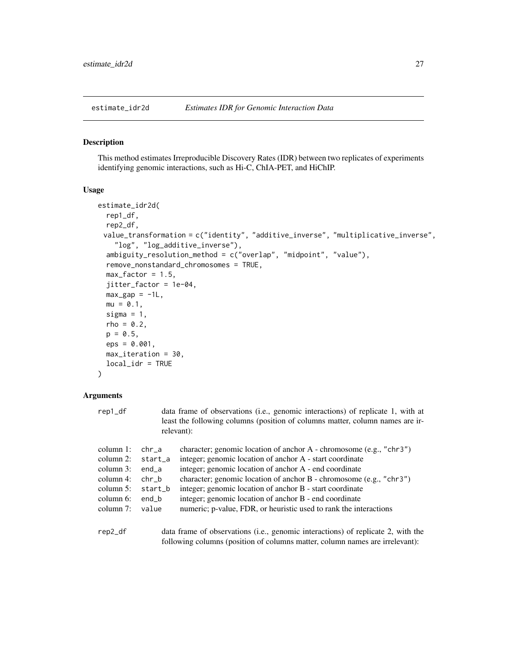#### <span id="page-26-1"></span><span id="page-26-0"></span>Description

This method estimates Irreproducible Discovery Rates (IDR) between two replicates of experiments identifying genomic interactions, such as Hi-C, ChIA-PET, and HiChIP.

#### Usage

```
estimate_idr2d(
  rep1_df,
  rep2_df,
 value_transformation = c("identity", "additive_inverse", "multiplicative_inverse",
    "log", "log_additive_inverse"),
  ambiguity_resolution_method = c("overlap", "midpoint", "value"),
  remove_nonstandard_chromosomes = TRUE,
  max_factor = 1.5,
  jitter_factor = 1e-04,
 max\_gap = -1L,
 mu = 0.1,
  sigma = 1,
  rho = 0.2,
 p = 0.5,
  eps = 0.001,
 max_iteration = 30,
  local_idr = TRUE
)
```
# Arguments

| rep1_df                                                                                            |                                                                 | data frame of observations (i.e., genomic interactions) of replicate 1, with at<br>least the following columns (position of columns matter, column names are ir-<br>relevant):                                                                                                                                                                                                                                                                              |
|----------------------------------------------------------------------------------------------------|-----------------------------------------------------------------|-------------------------------------------------------------------------------------------------------------------------------------------------------------------------------------------------------------------------------------------------------------------------------------------------------------------------------------------------------------------------------------------------------------------------------------------------------------|
| column $1$ :<br>column 2:<br>column 3:<br>column $4$ :<br>column $5$ :<br>column 6:<br>column $7:$ | chr a<br>start a<br>end a<br>chr b<br>start b<br>end b<br>value | character; genomic location of anchor A - chromosome (e.g., "chr3")<br>integer; genomic location of anchor A - start coordinate<br>integer; genomic location of anchor A - end coordinate<br>character; genomic location of anchor B - chromosome (e.g., "chr3")<br>integer; genomic location of anchor B - start coordinate<br>integer; genomic location of anchor B - end coordinate<br>numeric; p-value, FDR, or heuristic used to rank the interactions |
| rep2_df                                                                                            |                                                                 | data frame of observations (i.e., genomic interactions) of replicate 2, with the<br>following columns (position of columns matter, column names are irrelevant):                                                                                                                                                                                                                                                                                            |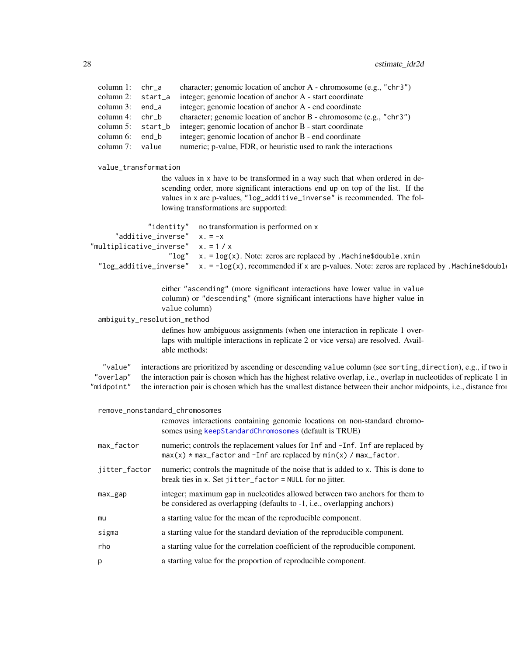| column 1: $chr-a$                          | character; genomic location of anchor A - chromosome (e.g., "chr3")                                                                                                                                     |
|--------------------------------------------|---------------------------------------------------------------------------------------------------------------------------------------------------------------------------------------------------------|
| column 2: start_a                          | integer; genomic location of anchor A - start coordinate                                                                                                                                                |
| column 3:<br>end_a                         | integer; genomic location of anchor A - end coordinate                                                                                                                                                  |
| chr b<br>column 4:<br>column 5:<br>start_b | character; genomic location of anchor B - chromosome (e.g., "chr3")<br>integer; genomic location of anchor B - start coordinate                                                                         |
| column 6:<br>end_b                         | integer; genomic location of anchor B - end coordinate                                                                                                                                                  |
| column 7: value                            | numeric; p-value, FDR, or heuristic used to rank the interactions                                                                                                                                       |
|                                            |                                                                                                                                                                                                         |
| value_transformation                       |                                                                                                                                                                                                         |
|                                            | the values in x have to be transformed in a way such that when ordered in de-                                                                                                                           |
|                                            | scending order, more significant interactions end up on top of the list. If the<br>values in x are p-values, "log_additive_inverse" is recommended. The fol-                                            |
|                                            | lowing transformations are supported:                                                                                                                                                                   |
|                                            |                                                                                                                                                                                                         |
|                                            | no transformation is performed on x<br>"identity"                                                                                                                                                       |
| "additive_inverse"                         | $x = -x$                                                                                                                                                                                                |
|                                            | "multiplicative_inverse" $x. = 1 / x$                                                                                                                                                                   |
|                                            | " $\log$ " x. = $\log(x)$ . Note: zeros are replaced by . Machine \$double. xmin<br>"log_additive_inverse" $x = -\log(x)$ , recommended if x are p-values. Note: zeros are replaced by .Machine\$double |
|                                            |                                                                                                                                                                                                         |
|                                            | either "ascending" (more significant interactions have lower value in value                                                                                                                             |
|                                            | column) or "descending" (more significant interactions have higher value in                                                                                                                             |
|                                            | value column)                                                                                                                                                                                           |
| ambiguity_resolution_method                |                                                                                                                                                                                                         |
|                                            | defines how ambiguous assignments (when one interaction in replicate 1 over-                                                                                                                            |
|                                            | laps with multiple interactions in replicate 2 or vice versa) are resolved. Avail-                                                                                                                      |
|                                            | able methods:                                                                                                                                                                                           |
| "value"                                    | interactions are prioritized by ascending or descending value column (see sorting_direction), e.g., if two in                                                                                           |
| "overlap"                                  | the interaction pair is chosen which has the highest relative overlap, i.e., overlap in nucleotides of replicate 1 in                                                                                   |
| "midpoint"                                 | the interaction pair is chosen which has the smallest distance between their anchor midpoints, i.e., distance from                                                                                      |
|                                            |                                                                                                                                                                                                         |
|                                            | remove_nonstandard_chromosomes                                                                                                                                                                          |
|                                            | removes interactions containing genomic locations on non-standard chromo-<br>somes using keepStandardChromosomes (default is TRUE)                                                                      |
|                                            |                                                                                                                                                                                                         |
| max_factor                                 | numeric; controls the replacement values for Inf and -Inf. Inf are replaced by                                                                                                                          |
|                                            | $max(x)$ * max_factor and -Inf are replaced by $min(x)$ / max_factor.                                                                                                                                   |
| jitter_factor                              | numeric; controls the magnitude of the noise that is added to x. This is done to                                                                                                                        |
|                                            | break ties in x. Set jitter_factor = NULL for no jitter.                                                                                                                                                |
| max_gap                                    | integer; maximum gap in nucleotides allowed between two anchors for them to                                                                                                                             |
|                                            | be considered as overlapping (defaults to -1, i.e., overlapping anchors)                                                                                                                                |
| mu                                         | a starting value for the mean of the reproducible component.                                                                                                                                            |
| sigma                                      | a starting value for the standard deviation of the reproducible component.                                                                                                                              |
| rho                                        | a starting value for the correlation coefficient of the reproducible component.                                                                                                                         |
|                                            |                                                                                                                                                                                                         |
|                                            | a starting value for the proportion of reproducible component.                                                                                                                                          |

<span id="page-27-0"></span>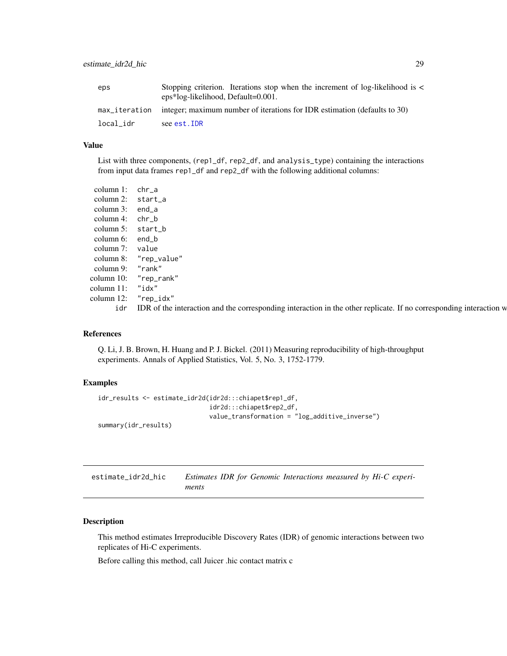<span id="page-28-0"></span>

| eps       | Stopping criterion. Iterations stop when the increment of log-likelihood is <<br>eps*log-likelihood, Default=0.001. |
|-----------|---------------------------------------------------------------------------------------------------------------------|
|           | max_iteration integer; maximum number of iterations for IDR estimation (defaults to 30)                             |
| local_idr | see est.IDR                                                                                                         |

#### Value

List with three components, (rep1\_df, rep2\_df, and analysis\_type) containing the interactions from input data frames rep1\_df and rep2\_df with the following additional columns:

| column 1: chr_a   |                                                                                                                        |
|-------------------|------------------------------------------------------------------------------------------------------------------------|
| column 2: start_a |                                                                                                                        |
| column 3: end_a   |                                                                                                                        |
| column 4: $chr_b$ |                                                                                                                        |
| column 5: start_b |                                                                                                                        |
| column $6:$ end_b |                                                                                                                        |
| column 7: value   |                                                                                                                        |
|                   | column 8: "rep_value"                                                                                                  |
| column 9: "rank"  |                                                                                                                        |
|                   | column 10: "rep_rank"                                                                                                  |
| column 11: "idx"  |                                                                                                                        |
|                   | column 12: "rep_idx"                                                                                                   |
|                   | idr IDR of the interaction and the corresponding interaction in the other replicate. If no corresponding interaction w |

#### References

Q. Li, J. B. Brown, H. Huang and P. J. Bickel. (2011) Measuring reproducibility of high-throughput experiments. Annals of Applied Statistics, Vol. 5, No. 3, 1752-1779.

# Examples

```
idr_results <- estimate_idr2d(idr2d:::chiapet$rep1_df,
                              idr2d:::chiapet$rep2_df,
                              value_transformation = "log_additive_inverse")
summary(idr_results)
```
<span id="page-28-1"></span>

| estimate idr2d hic | Estimates IDR for Genomic Interactions measured by Hi-C experi- |
|--------------------|-----------------------------------------------------------------|
|                    | ments                                                           |

# Description

This method estimates Irreproducible Discovery Rates (IDR) of genomic interactions between two replicates of Hi-C experiments.

Before calling this method, call Juicer .hic contact matrix c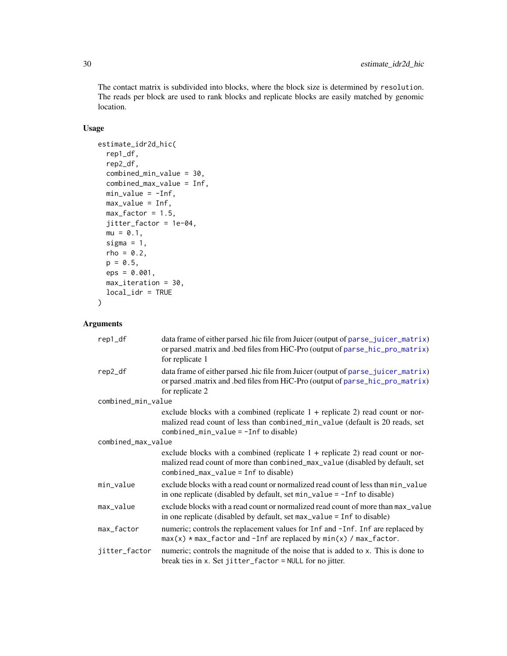<span id="page-29-0"></span>The contact matrix is subdivided into blocks, where the block size is determined by resolution. The reads per block are used to rank blocks and replicate blocks are easily matched by genomic location.

# Usage

```
estimate_idr2d_hic(
  rep1_df,
  rep2_df,
  combined_min_value = 30,
  combined_max_value = Inf,
 min_value = -Inf,max_value = Inf,max_factor = 1.5,
  jitter_factor = 1e-04,
  mu = 0.1,
  sigma = 1,
  rho = 0.2,
 p = 0.5,
  eps = 0.001,
 max_iteration = 30,
  local_idr = TRUE
)
```
# Arguments

| rep1_df            | data frame of either parsed .hic file from Juicer (output of parse_juicer_matrix)<br>or parsed .matrix and .bed files from HiC-Pro (output of parse_hic_pro_matrix)<br>for replicate 1                      |
|--------------------|-------------------------------------------------------------------------------------------------------------------------------------------------------------------------------------------------------------|
| rep2_df            | data frame of either parsed .hic file from Juicer (output of parse_juicer_matrix)<br>or parsed .matrix and .bed files from HiC-Pro (output of parse_hic_pro_matrix)<br>for replicate 2                      |
| combined_min_value |                                                                                                                                                                                                             |
|                    | exclude blocks with a combined (replicate $1 +$ replicate 2) read count or nor-<br>malized read count of less than combined_min_value (default is 20 reads, set<br>combined_min_value = $-I$ nf to disable) |
| combined_max_value |                                                                                                                                                                                                             |
|                    | exclude blocks with a combined (replicate $1 +$ replicate 2) read count or nor-<br>malized read count of more than combined_max_value (disabled by default, set<br>$combined_max_value = Inf to disable)$   |
| min_value          | exclude blocks with a read count or normalized read count of less than min_value<br>in one replicate (disabled by default, set $min_value = -Inf$ to disable)                                               |
| max_value          | exclude blocks with a read count or normalized read count of more than max_value<br>in one replicate (disabled by default, set max_value = Inf to disable)                                                  |
| max_factor         | numeric; controls the replacement values for Inf and -Inf. Inf are replaced by<br>$max(x) * max_f$ actor and -Inf are replaced by $min(x) / max_f$ actor.                                                   |
| jitter_factor      | numeric; controls the magnitude of the noise that is added to x. This is done to<br>break ties in x. Set jitter_factor = NULL for no jitter.                                                                |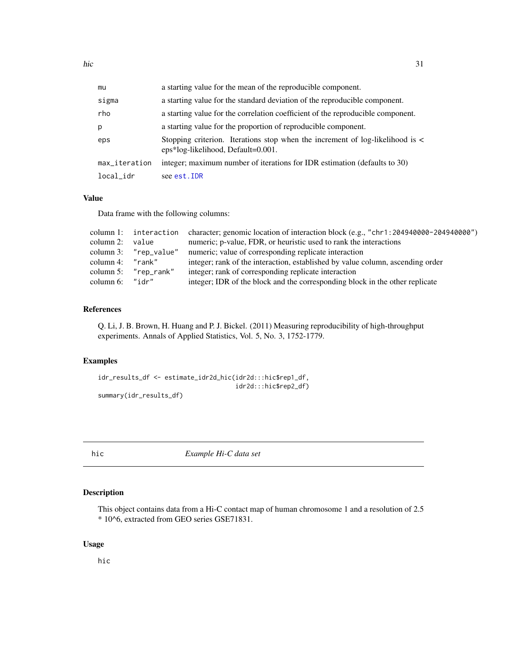<span id="page-30-0"></span>

| mu            | a starting value for the mean of the reproducible component.                                                            |
|---------------|-------------------------------------------------------------------------------------------------------------------------|
| sigma         | a starting value for the standard deviation of the reproducible component.                                              |
| rho           | a starting value for the correlation coefficient of the reproducible component.                                         |
| p             | a starting value for the proportion of reproducible component.                                                          |
| eps           | Stopping criterion. Iterations stop when the increment of log-likelihood is $\lt$<br>eps*log-likelihood, Default=0.001. |
| max_iteration | integer; maximum number of iterations for IDR estimation (defaults to 30)                                               |
| local_idr     | see est. IDR                                                                                                            |

# Value

Data frame with the following columns:

|                    |                         | column 1: interaction character; genomic location of interaction block (e.g., "chr1:204940000-204940000") |
|--------------------|-------------------------|-----------------------------------------------------------------------------------------------------------|
| column 2:          | value                   | numeric; p-value, FDR, or heuristic used to rank the interactions                                         |
|                    | column $3:$ "rep_value" | numeric; value of corresponding replicate interaction                                                     |
| column 4: $"rank"$ |                         | integer; rank of the interaction, established by value column, ascending order                            |
|                    | column 5: $"rep\_rank"$ | integer; rank of corresponding replicate interaction                                                      |
| column $6:$ "idr"  |                         | integer; IDR of the block and the corresponding block in the other replicate                              |

### References

Q. Li, J. B. Brown, H. Huang and P. J. Bickel. (2011) Measuring reproducibility of high-throughput experiments. Annals of Applied Statistics, Vol. 5, No. 3, 1752-1779.

### Examples

```
idr_results_df <- estimate_idr2d_hic(idr2d:::hic$rep1_df,
                                     idr2d:::hic$rep2_df)
summary(idr_results_df)
```
hic *Example Hi-C data set*

# Description

This object contains data from a Hi-C contact map of human chromosome 1 and a resolution of 2.5 \* 10^6, extracted from GEO series GSE71831.

# Usage

hic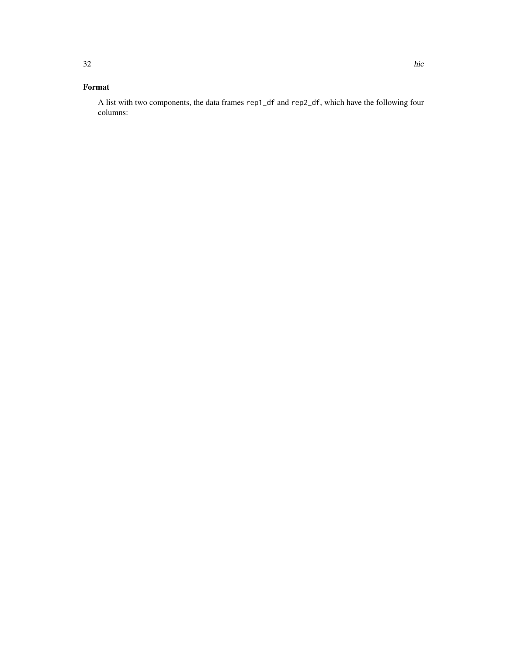# Format

A list with two components, the data frames rep1\_df and rep2\_df, which have the following four columns: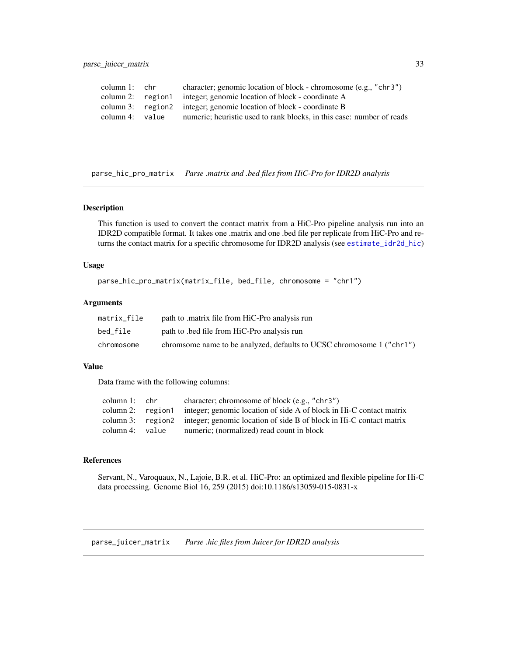<span id="page-32-0"></span>parse\_juicer\_matrix 33

```
column 1: chr character; genomic location of block - chromosome (e.g., "chr3")
column 2: region1 integer; genomic location of block - coordinate A
column 3: region2 integer; genomic location of block - coordinate B
column 4: value numeric; heuristic used to rank blocks, in this case: number of reads
```
<span id="page-32-2"></span>parse\_hic\_pro\_matrix *Parse .matrix and .bed files from HiC-Pro for IDR2D analysis*

#### Description

This function is used to convert the contact matrix from a HiC-Pro pipeline analysis run into an IDR2D compatible format. It takes one .matrix and one .bed file per replicate from HiC-Pro and returns the contact matrix for a specific chromosome for IDR2D analysis (see [estimate\\_idr2d\\_hic](#page-28-1))

#### Usage

parse\_hic\_pro\_matrix(matrix\_file, bed\_file, chromosome = "chr1")

#### Arguments

| matrix_file | path to matrix file from HiC-Pro analysis run                         |
|-------------|-----------------------------------------------------------------------|
| bed_file    | path to bed file from HiC-Pro analysis run                            |
| chromosome  | chromsome name to be analyzed, defaults to UCSC chromosome 1 ("chr1") |

#### Value

Data frame with the following columns:

| column $1:$ chr | character; chromosome of block (e.g., "chr3")                                         |
|-----------------|---------------------------------------------------------------------------------------|
|                 | column 2: region integer; genomic location of side A of block in Hi-C contact matrix  |
|                 | column 3: region2 integer; genomic location of side B of block in Hi-C contact matrix |
| column 4: value | numeric; (normalized) read count in block                                             |
|                 |                                                                                       |

# References

Servant, N., Varoquaux, N., Lajoie, B.R. et al. HiC-Pro: an optimized and flexible pipeline for Hi-C data processing. Genome Biol 16, 259 (2015) doi:10.1186/s13059-015-0831-x

<span id="page-32-1"></span>parse\_juicer\_matrix *Parse .hic files from Juicer for IDR2D analysis*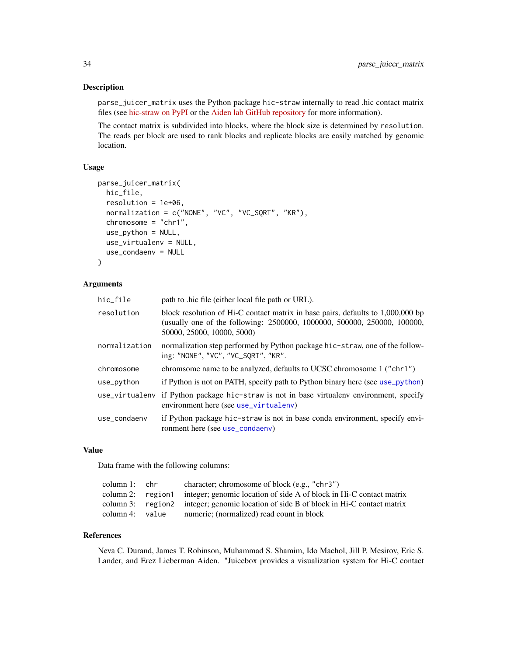#### <span id="page-33-0"></span>Description

parse\_juicer\_matrix uses the Python package hic-straw internally to read .hic contact matrix files (see [hic-straw on PyPI](https://pypi.org/project/hic-straw/) or the [Aiden lab GitHub repository](https://pypi.org/project/hic-straw/) for more information).

The contact matrix is subdivided into blocks, where the block size is determined by resolution. The reads per block are used to rank blocks and replicate blocks are easily matched by genomic location.

## Usage

```
parse_juicer_matrix(
 hic_file,
  resolution = 1e+06,
  normalization = c("NONE", "VC", "VC_SQRT", "KR"),
  chromosome = "chr1",
  use_python = NULL,
  use_virtualenv = NULL,
  use_condaenv = NULL
)
```
#### Arguments

| hic_file       | path to .hic file (either local file path or URL).                                                                                                                                        |
|----------------|-------------------------------------------------------------------------------------------------------------------------------------------------------------------------------------------|
| resolution     | block resolution of Hi-C contact matrix in base pairs, defaults to 1,000,000 bp<br>(usually one of the following: 2500000, 1000000, 500000, 250000, 100000,<br>50000, 25000, 10000, 5000) |
| normalization  | normalization step performed by Python package hic-straw, one of the follow-<br>ing: "NONE", "VC", "VC_SQRT", "KR".                                                                       |
| chromosome     | chromsome name to be analyzed, defaults to UCSC chromosome 1 ("chr1")                                                                                                                     |
| use_python     | if Python is not on PATH, specify path to Python binary here (see use_python)                                                                                                             |
| use_virtualenv | if Python package hic-straw is not in base virtualenv environment, specify<br>environment here (see use_virtualenv)                                                                       |
| use_condaenv   | if Python package hic-straw is not in base conda environment, specify envi-<br>ronment here (see use_condaenv)                                                                            |

#### Value

Data frame with the following columns:

| column 1: chr   | character; chromosome of block (e.g., "chr3")                                         |
|-----------------|---------------------------------------------------------------------------------------|
|                 | column 2: region integer; genomic location of side A of block in Hi-C contact matrix  |
|                 | column 3: region2 integer; genomic location of side B of block in Hi-C contact matrix |
| column 4: value | numeric; (normalized) read count in block                                             |

#### References

Neva C. Durand, James T. Robinson, Muhammad S. Shamim, Ido Machol, Jill P. Mesirov, Eric S. Lander, and Erez Lieberman Aiden. "Juicebox provides a visualization system for Hi-C contact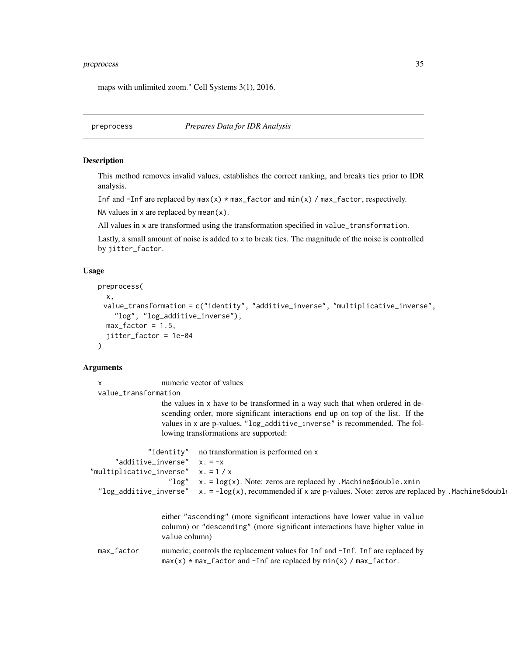#### <span id="page-34-0"></span>preprocess 35

maps with unlimited zoom." Cell Systems 3(1), 2016.

preprocess *Prepares Data for IDR Analysis*

#### Description

This method removes invalid values, establishes the correct ranking, and breaks ties prior to IDR analysis.

Inf and  $-Inf$  are replaced by  $max(x) * max_f$  actor and  $min(x) / max_f$  actor, respectively.

NA values in  $x$  are replaced by mean $(x)$ .

All values in x are transformed using the transformation specified in value\_transformation.

Lastly, a small amount of noise is added to x to break ties. The magnitude of the noise is controlled by jitter\_factor.

#### Usage

```
preprocess(
  x,
 value_transformation = c("identity", "additive_inverse", "multiplicative_inverse",
    "log", "log_additive_inverse"),
 max_factor = 1.5,
  jitter_factor = 1e-04
)
```
# Arguments

x numeric vector of values value\_transformation the values in x have to be transformed in a way such that when ordered in descending order, more significant interactions end up on top of the list. If the values in x are p-values, "log\_additive\_inverse" is recommended. The following transformations are supported: "identity" no transformation is performed on x "additive\_inverse"  $x = -x$ "multiplicative\_inverse" x. = 1 / x " $\log$ " x. =  $\log(x)$ . Note: zeros are replaced by .Machine\$double.xmin "log\_additive\_inverse"  $x. = -\log(x)$ , recommended if x are p-values. Note: zeros are replaced by .Machine\$double either "ascending" (more significant interactions have lower value in value column) or "descending" (more significant interactions have higher value in value column) max\_factor numeric; controls the replacement values for Inf and -Inf. Inf are replaced by  $max(x)$  \* max\_factor and -Inf are replaced by  $min(x)$  / max\_factor.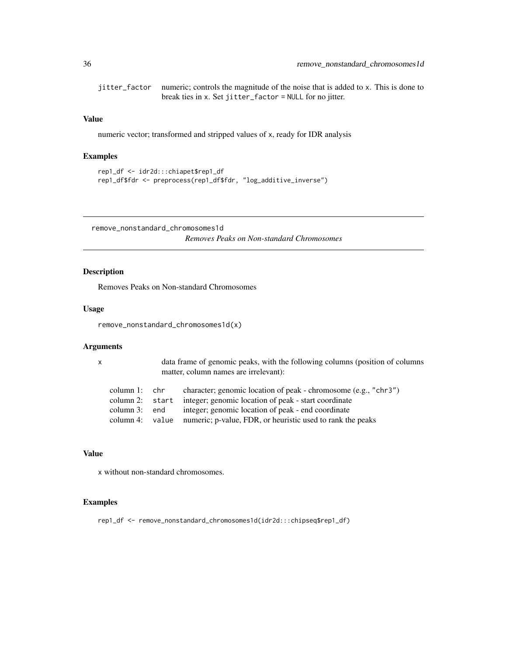<span id="page-35-0"></span>jitter\_factor numeric; controls the magnitude of the noise that is added to x. This is done to break ties in x. Set jitter\_factor = NULL for no jitter.

# Value

numeric vector; transformed and stripped values of x, ready for IDR analysis

# Examples

```
rep1_df <- idr2d:::chiapet$rep1_df
rep1_df$fdr <- preprocess(rep1_df$fdr, "log_additive_inverse")
```
remove\_nonstandard\_chromosomes1d

*Removes Peaks on Non-standard Chromosomes*

# Description

Removes Peaks on Non-standard Chromosomes

### Usage

remove\_nonstandard\_chromosomes1d(x)

#### Arguments

x data frame of genomic peaks, with the following columns (position of columns matter, column names are irrelevant):

| column 1: chr | character; genomic location of peak - chromosome (e.g., "chr3")            |
|---------------|----------------------------------------------------------------------------|
|               | column 2: start integer; genomic location of peak - start coordinate       |
| column 3: end | integer; genomic location of peak - end coordinate                         |
|               | column 4: value numeric; p-value, FDR, or heuristic used to rank the peaks |

### Value

x without non-standard chromosomes.

#### Examples

rep1\_df <- remove\_nonstandard\_chromosomes1d(idr2d:::chipseq\$rep1\_df)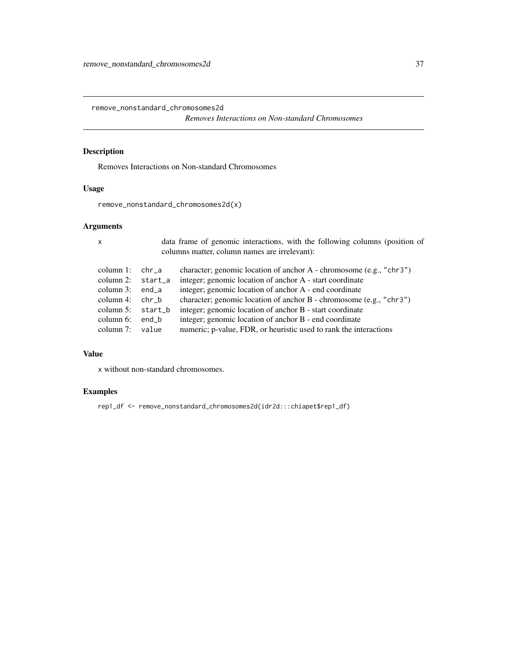<span id="page-36-0"></span>remove\_nonstandard\_chromosomes2d

*Removes Interactions on Non-standard Chromosomes*

# Description

Removes Interactions on Non-standard Chromosomes

# Usage

remove\_nonstandard\_chromosomes2d(x)

# Arguments

| $\boldsymbol{\mathsf{x}}$ |                     |       | data frame of genomic interactions, with the following columns (position of<br>columns matter, column names are irrelevant): |
|---------------------------|---------------------|-------|------------------------------------------------------------------------------------------------------------------------------|
|                           | column $1$ :        | chr a | character; genomic location of anchor A - chromosome (e.g., "chr3")                                                          |
|                           | column 2: start a   |       | integer; genomic location of anchor A - start coordinate                                                                     |
|                           | column $3:$ end a   |       | integer; genomic location of anchor A - end coordinate                                                                       |
|                           | column 4: $chr b$   |       | character; genomic location of anchor B - chromosome (e.g., "chr3")                                                          |
|                           | column $5:$ start b |       | integer; genomic location of anchor B - start coordinate                                                                     |
|                           | column $6$ :        | end b | integer; genomic location of anchor B - end coordinate                                                                       |
|                           | column $7:$         | value | numeric; p-value, FDR, or heuristic used to rank the interactions                                                            |
|                           |                     |       |                                                                                                                              |

#### Value

x without non-standard chromosomes.

# Examples

rep1\_df <- remove\_nonstandard\_chromosomes2d(idr2d:::chiapet\$rep1\_df)